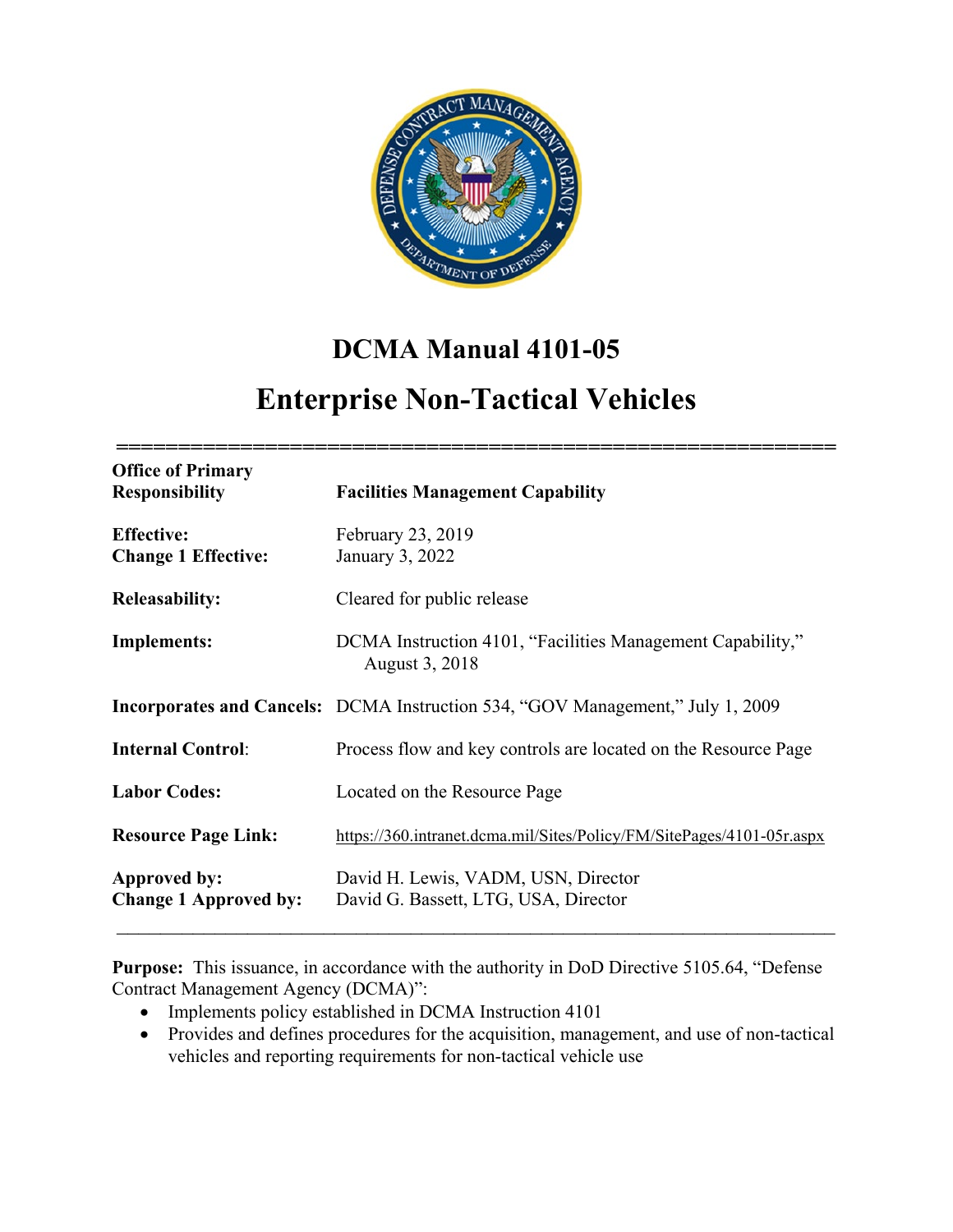

# **DCMA Manual 4101-05**

# **Enterprise Non-Tactical Vehicles**

| <b>Office of Primary</b><br><b>Responsibility</b> | <b>Facilities Management Capability</b>                                               |  |
|---------------------------------------------------|---------------------------------------------------------------------------------------|--|
| <b>Effective:</b><br><b>Change 1 Effective:</b>   | February 23, 2019<br>January 3, 2022                                                  |  |
| <b>Releasability:</b>                             | Cleared for public release                                                            |  |
| <b>Implements:</b>                                | DCMA Instruction 4101, "Facilities Management Capability,"<br>August 3, 2018          |  |
|                                                   | <b>Incorporates and Cancels:</b> DCMA Instruction 534, "GOV Management," July 1, 2009 |  |
| <b>Internal Control:</b>                          | Process flow and key controls are located on the Resource Page                        |  |
| <b>Labor Codes:</b>                               | Located on the Resource Page                                                          |  |
| <b>Resource Page Link:</b>                        | https://360.intranet.dcma.mil/Sites/Policy/FM/SitePages/4101-05r.aspx                 |  |
| Approved by:<br><b>Change 1 Approved by:</b>      | David H. Lewis, VADM, USN, Director<br>David G. Bassett, LTG, USA, Director           |  |

**Purpose:** This issuance, in accordance with the authority in DoD Directive 5105.64, "Defense Contract Management Agency (DCMA)":

- Implements policy established in DCMA Instruction 4101
- Provides and defines procedures for the acquisition, management, and use of non-tactical vehicles and reporting requirements for non-tactical vehicle use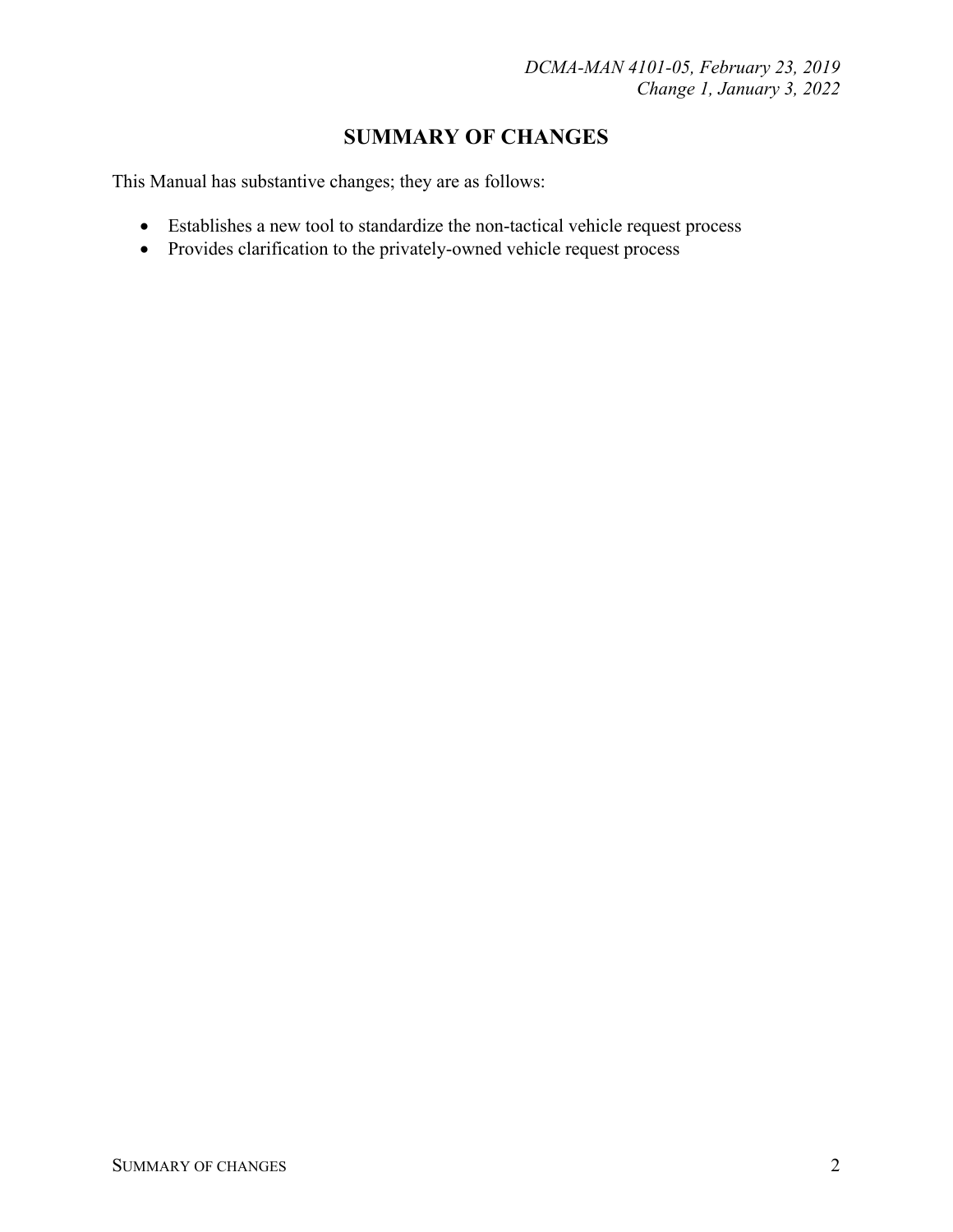# **SUMMARY OF CHANGES**

This Manual has substantive changes; they are as follows:

- Establishes a new tool to standardize the non-tactical vehicle request process
- Provides clarification to the privately-owned vehicle request process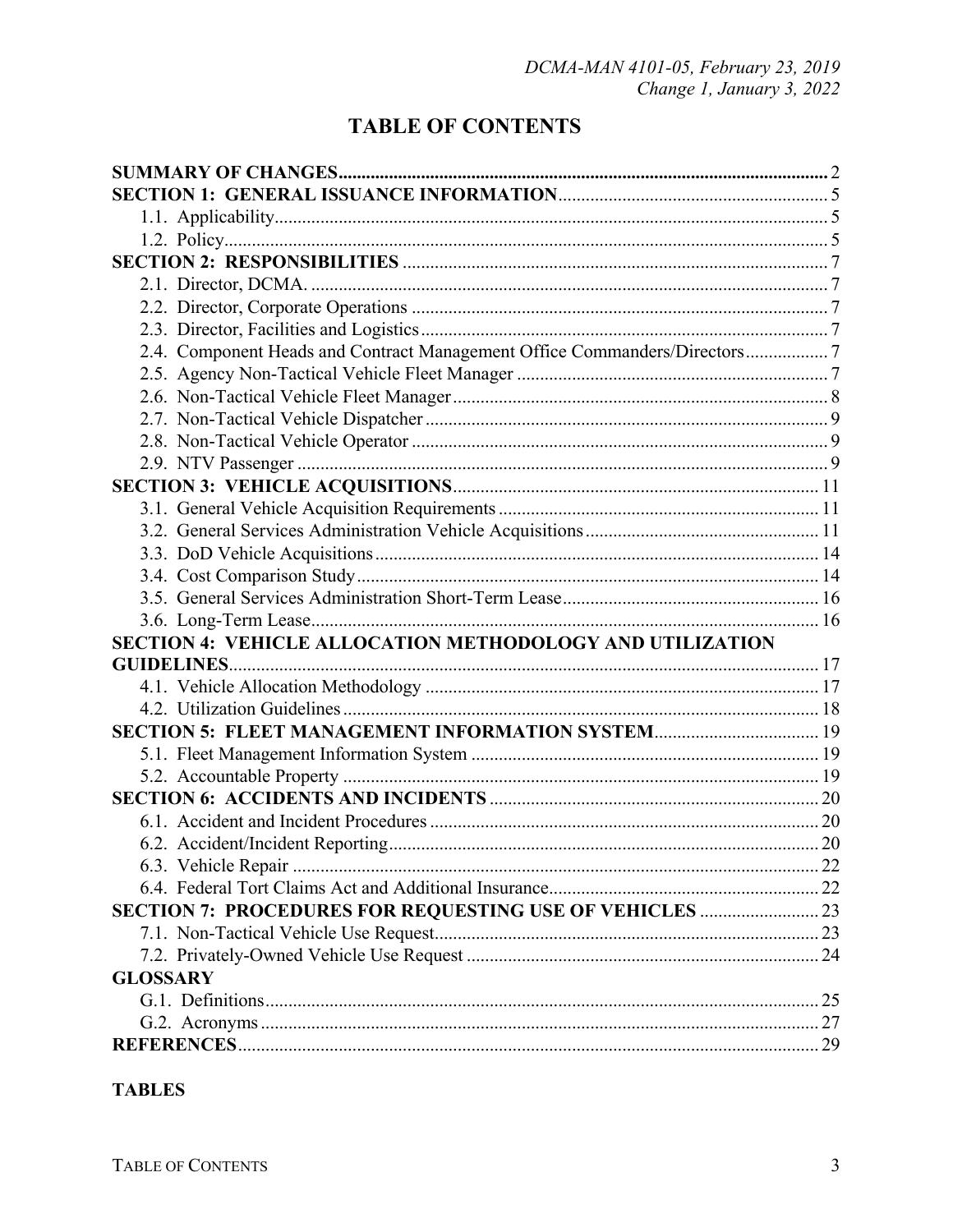# **TABLE OF CONTENTS**

| 2.4. Component Heads and Contract Management Office Commanders/Directors7 |  |
|---------------------------------------------------------------------------|--|
|                                                                           |  |
|                                                                           |  |
|                                                                           |  |
|                                                                           |  |
|                                                                           |  |
|                                                                           |  |
|                                                                           |  |
|                                                                           |  |
|                                                                           |  |
|                                                                           |  |
|                                                                           |  |
|                                                                           |  |
| SECTION 4: VEHICLE ALLOCATION METHODOLOGY AND UTILIZATION                 |  |
|                                                                           |  |
|                                                                           |  |
|                                                                           |  |
| SECTION 5: FLEET MANAGEMENT INFORMATION SYSTEM 19                         |  |
|                                                                           |  |
|                                                                           |  |
|                                                                           |  |
|                                                                           |  |
|                                                                           |  |
|                                                                           |  |
|                                                                           |  |
| SECTION 7: PROCEDURES FOR REQUESTING USE OF VEHICLES  23                  |  |
|                                                                           |  |
|                                                                           |  |
| <b>GLOSSARY</b>                                                           |  |
|                                                                           |  |
|                                                                           |  |
|                                                                           |  |

# **TABLES**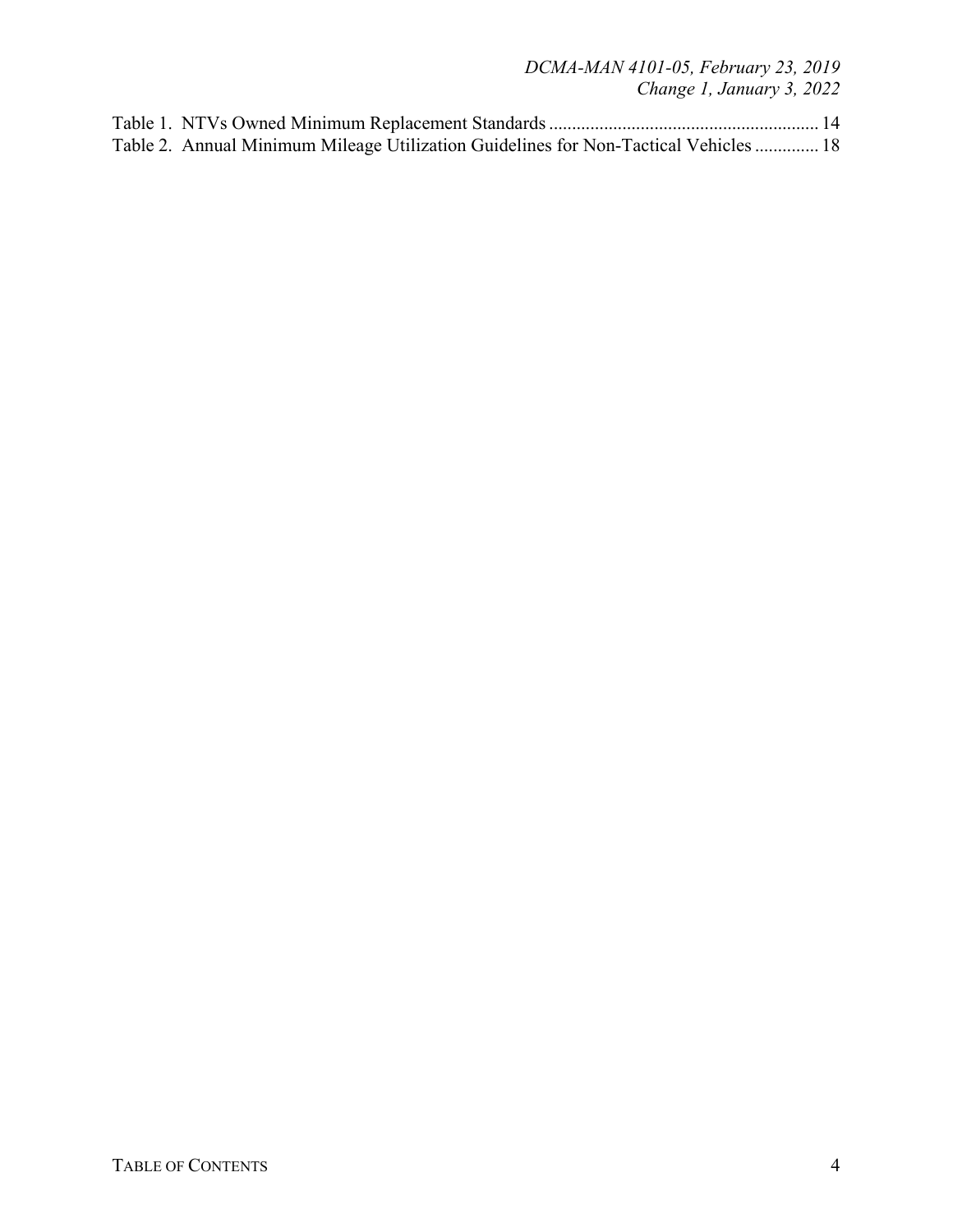*DCMA-MAN 4101-05, February 23, 2019 Change 1, January 3, 2022*

| Table 2. Annual Minimum Mileage Utilization Guidelines for Non-Tactical Vehicles  18 |  |
|--------------------------------------------------------------------------------------|--|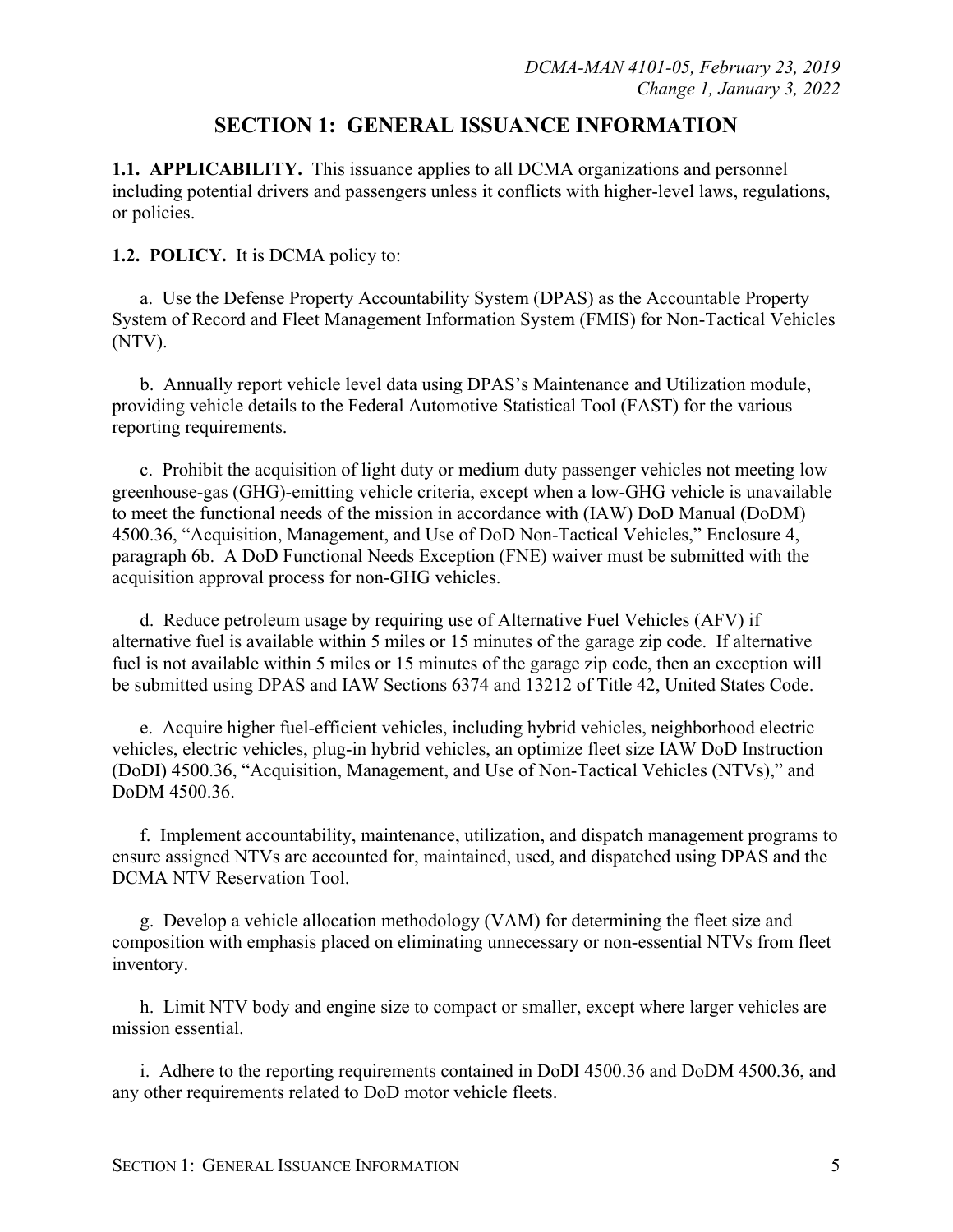# **SECTION 1: GENERAL ISSUANCE INFORMATION**

**1.1. APPLICABILITY.** This issuance applies to all DCMA organizations and personnel including potential drivers and passengers unless it conflicts with higher-level laws, regulations, or policies.

#### **1.2. POLICY.** It is DCMA policy to:

a. Use the Defense Property Accountability System (DPAS) as the Accountable Property System of Record and Fleet Management Information System (FMIS) for Non-Tactical Vehicles (NTV).

b. Annually report vehicle level data using DPAS's Maintenance and Utilization module, providing vehicle details to the Federal Automotive Statistical Tool (FAST) for the various reporting requirements.

c. Prohibit the acquisition of light duty or medium duty passenger vehicles not meeting low greenhouse-gas (GHG)-emitting vehicle criteria, except when a low-GHG vehicle is unavailable to meet the functional needs of the mission in accordance with (IAW) DoD Manual (DoDM) 4500.36, "Acquisition, Management, and Use of DoD Non-Tactical Vehicles," Enclosure 4, paragraph 6b. A DoD Functional Needs Exception (FNE) waiver must be submitted with the acquisition approval process for non-GHG vehicles.

d. Reduce petroleum usage by requiring use of Alternative Fuel Vehicles (AFV) if alternative fuel is available within 5 miles or 15 minutes of the garage zip code. If alternative fuel is not available within 5 miles or 15 minutes of the garage zip code, then an exception will be submitted using DPAS and IAW Sections 6374 and 13212 of Title 42, United States Code.

e. Acquire higher fuel-efficient vehicles, including hybrid vehicles, neighborhood electric vehicles, electric vehicles, plug-in hybrid vehicles, an optimize fleet size IAW DoD Instruction (DoDI) 4500.36, "Acquisition, Management, and Use of Non-Tactical Vehicles (NTVs)," and DoDM 4500.36.

f. Implement accountability, maintenance, utilization, and dispatch management programs to ensure assigned NTVs are accounted for, maintained, used, and dispatched using DPAS and the DCMA NTV Reservation Tool.

g. Develop a vehicle allocation methodology (VAM) for determining the fleet size and composition with emphasis placed on eliminating unnecessary or non-essential NTVs from fleet inventory.

h. Limit NTV body and engine size to compact or smaller, except where larger vehicles are mission essential.

i. Adhere to the reporting requirements contained in DoDI 4500.36 and DoDM 4500.36, and any other requirements related to DoD motor vehicle fleets.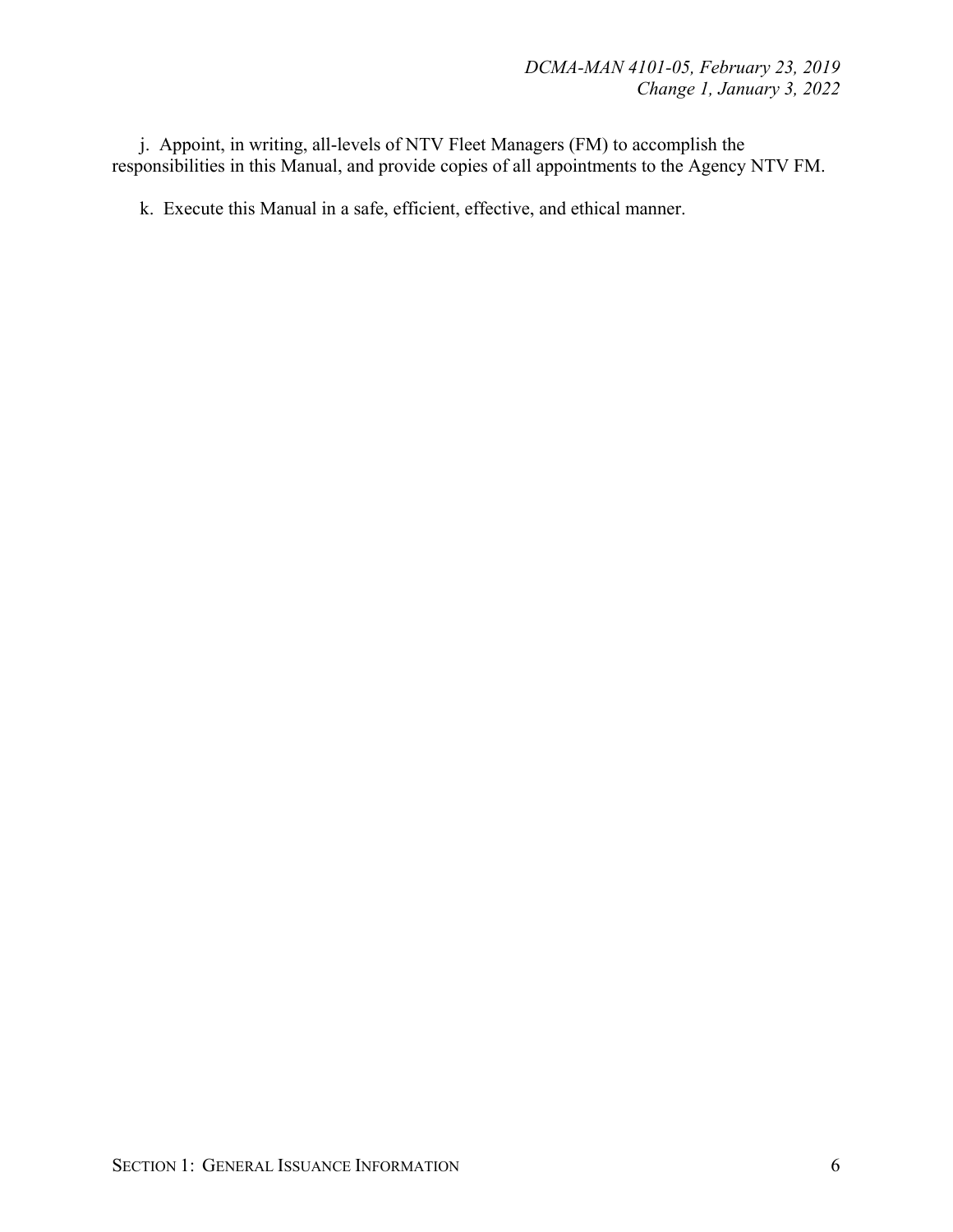j. Appoint, in writing, all-levels of NTV Fleet Managers (FM) to accomplish the responsibilities in this Manual, and provide copies of all appointments to the Agency NTV FM.

k. Execute this Manual in a safe, efficient, effective, and ethical manner.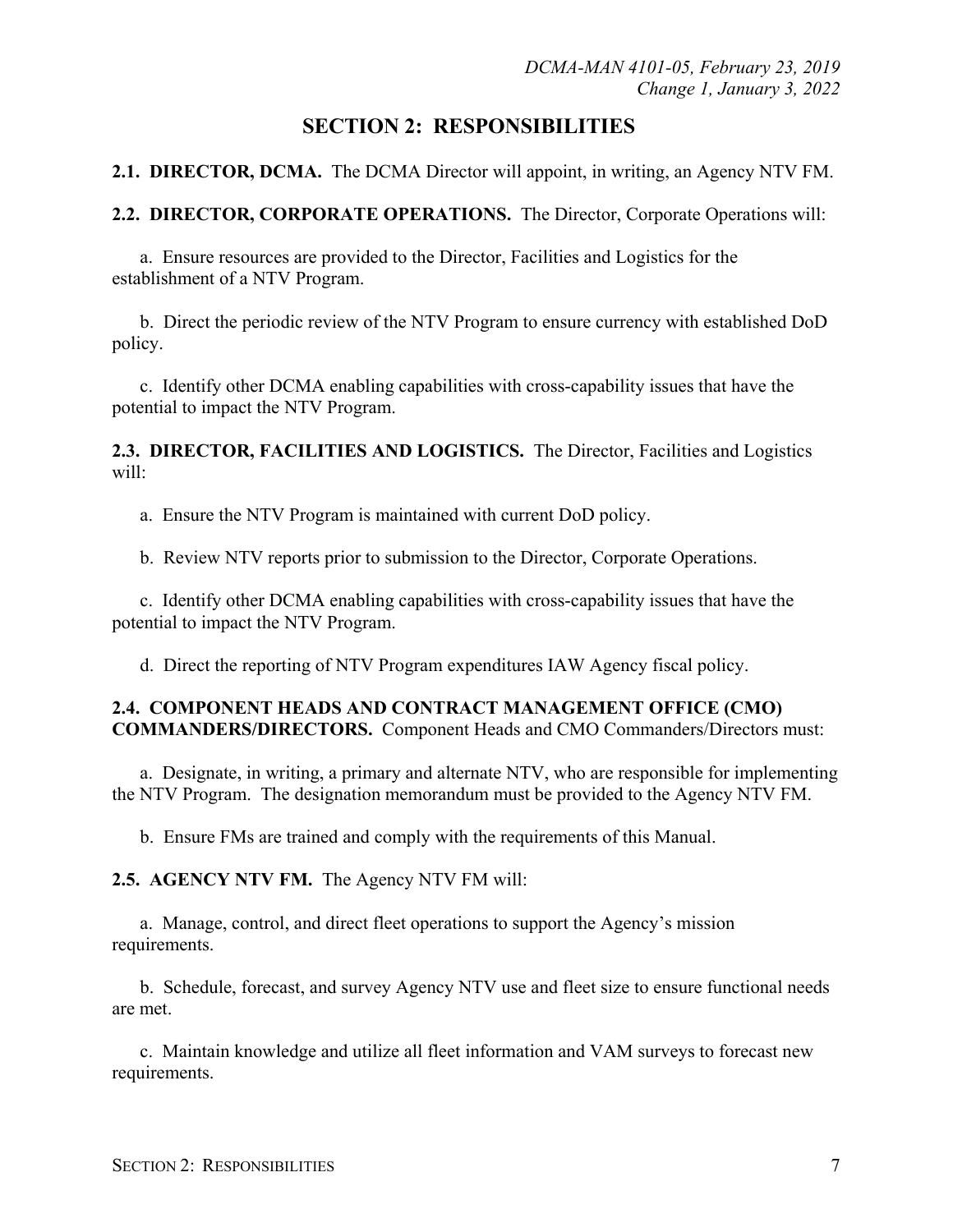# **SECTION 2: RESPONSIBILITIES**

**2.1. DIRECTOR, DCMA.** The DCMA Director will appoint, in writing, an Agency NTV FM.

**2.2. DIRECTOR, CORPORATE OPERATIONS.** The Director, Corporate Operations will:

a. Ensure resources are provided to the Director, Facilities and Logistics for the establishment of a NTV Program.

b. Direct the periodic review of the NTV Program to ensure currency with established DoD policy.

c. Identify other DCMA enabling capabilities with cross-capability issues that have the potential to impact the NTV Program.

**2.3. DIRECTOR, FACILITIES AND LOGISTICS.** The Director, Facilities and Logistics will:

a. Ensure the NTV Program is maintained with current DoD policy.

b. Review NTV reports prior to submission to the Director, Corporate Operations.

c. Identify other DCMA enabling capabilities with cross-capability issues that have the potential to impact the NTV Program.

d. Direct the reporting of NTV Program expenditures IAW Agency fiscal policy.

#### **2.4. COMPONENT HEADS AND CONTRACT MANAGEMENT OFFICE (CMO) COMMANDERS/DIRECTORS.** Component Heads and CMO Commanders/Directors must:

a. Designate, in writing, a primary and alternate NTV, who are responsible for implementing the NTV Program. The designation memorandum must be provided to the Agency NTV FM.

b. Ensure FMs are trained and comply with the requirements of this Manual.

**2.5. AGENCY NTV FM.** The Agency NTV FM will:

a. Manage, control, and direct fleet operations to support the Agency's mission requirements.

b. Schedule, forecast, and survey Agency NTV use and fleet size to ensure functional needs are met.

c. Maintain knowledge and utilize all fleet information and VAM surveys to forecast new requirements.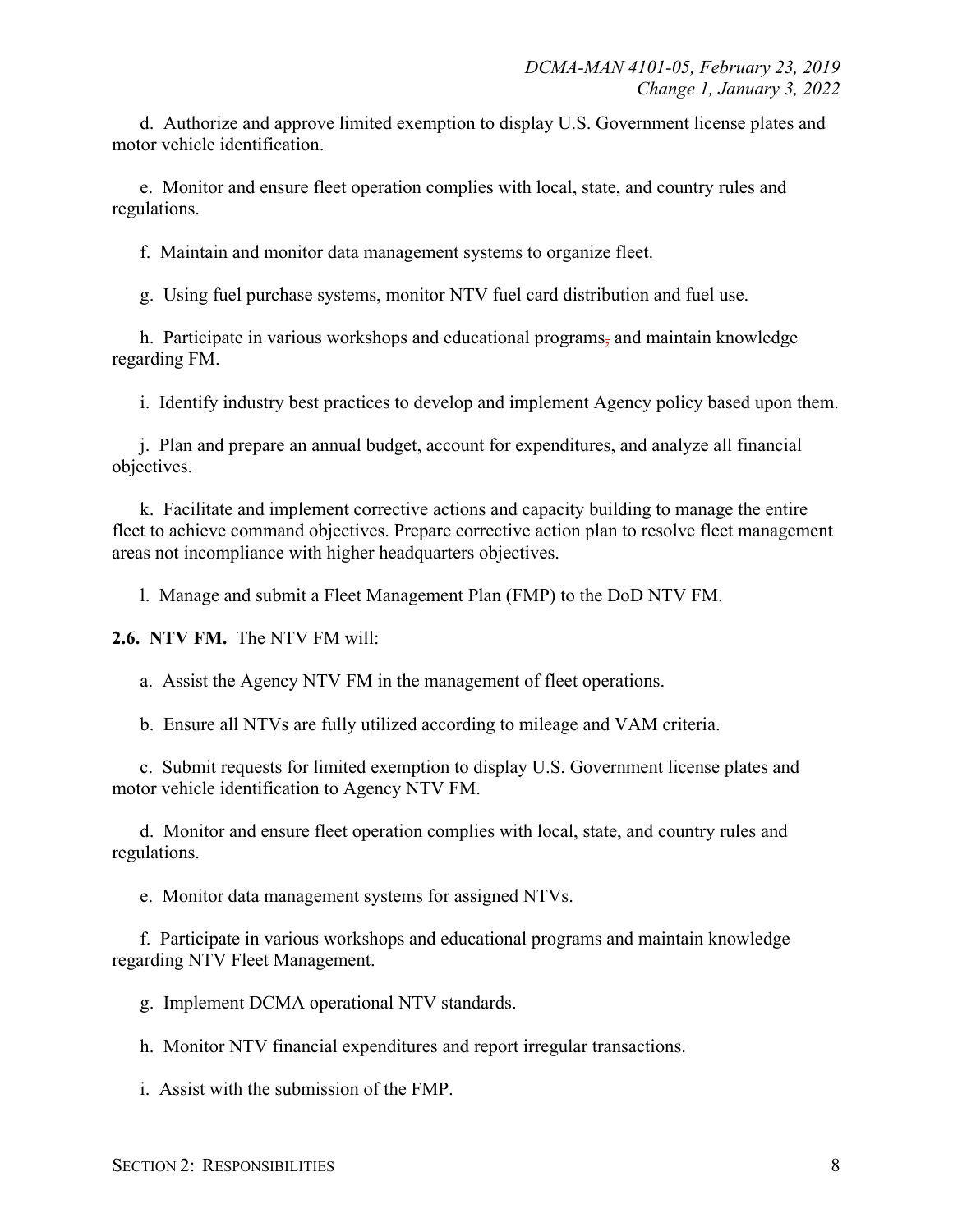d. Authorize and approve limited exemption to display U.S. Government license plates and motor vehicle identification.

e. Monitor and ensure fleet operation complies with local, state, and country rules and regulations.

f. Maintain and monitor data management systems to organize fleet.

g. Using fuel purchase systems, monitor NTV fuel card distribution and fuel use.

h. Participate in various workshops and educational programs, and maintain knowledge regarding FM.

i. Identify industry best practices to develop and implement Agency policy based upon them.

j. Plan and prepare an annual budget, account for expenditures, and analyze all financial objectives.

k. Facilitate and implement corrective actions and capacity building to manage the entire fleet to achieve command objectives. Prepare corrective action plan to resolve fleet management areas not incompliance with higher headquarters objectives.

l. Manage and submit a Fleet Management Plan (FMP) to the DoD NTV FM.

**2.6. NTV FM.** The NTV FM will:

a. Assist the Agency NTV FM in the management of fleet operations.

b. Ensure all NTVs are fully utilized according to mileage and VAM criteria.

c. Submit requests for limited exemption to display U.S. Government license plates and motor vehicle identification to Agency NTV FM.

d. Monitor and ensure fleet operation complies with local, state, and country rules and regulations.

e. Monitor data management systems for assigned NTVs.

f. Participate in various workshops and educational programs and maintain knowledge regarding NTV Fleet Management.

g. Implement DCMA operational NTV standards.

h. Monitor NTV financial expenditures and report irregular transactions.

i. Assist with the submission of the FMP.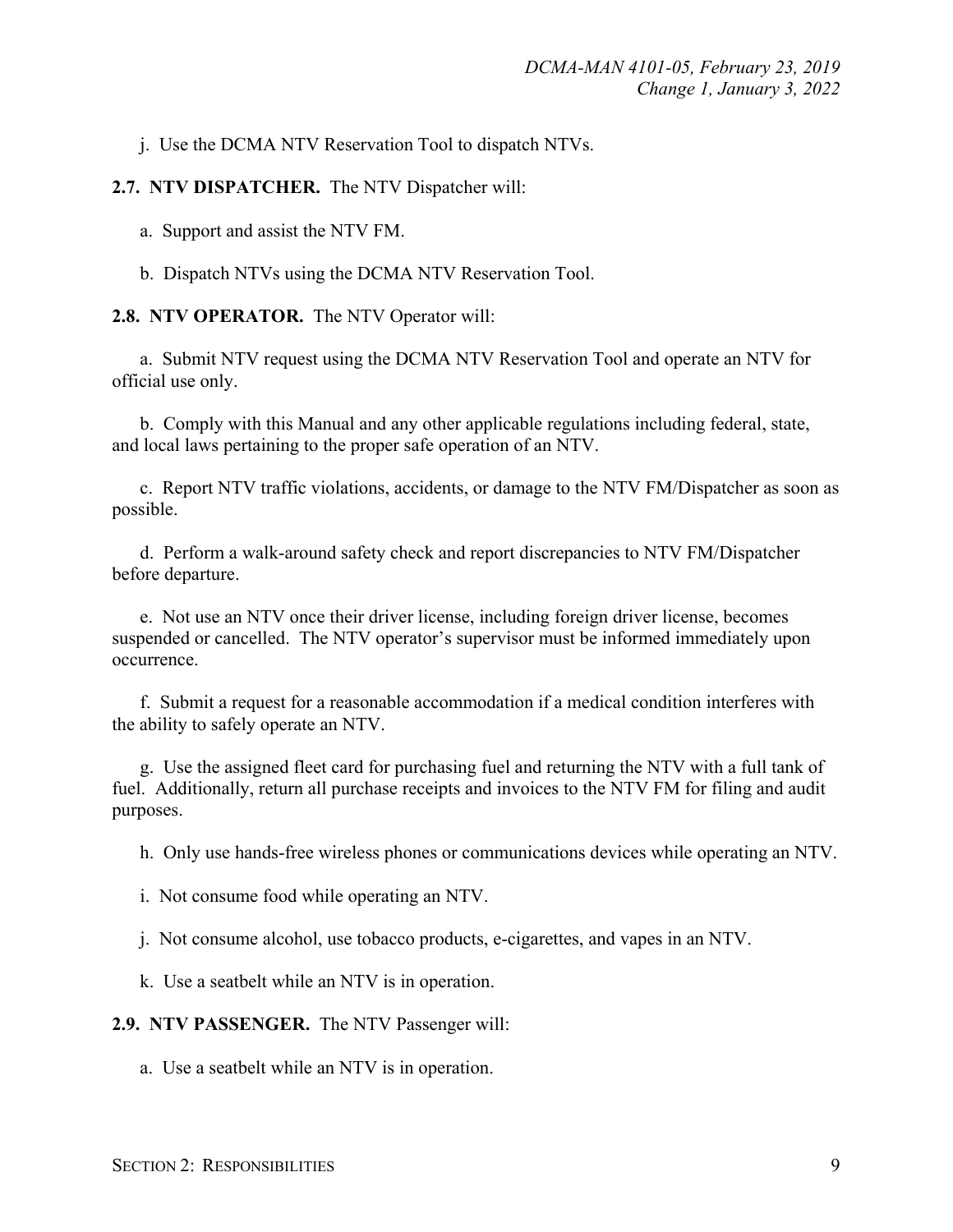j. Use the DCMA NTV Reservation Tool to dispatch NTVs.

#### **2.7. NTV DISPATCHER.** The NTV Dispatcher will:

a. Support and assist the NTV FM.

b. Dispatch NTVs using the DCMA NTV Reservation Tool.

**2.8. NTV OPERATOR.** The NTV Operator will:

a. Submit NTV request using the DCMA NTV Reservation Tool and operate an NTV for official use only.

b. Comply with this Manual and any other applicable regulations including federal, state, and local laws pertaining to the proper safe operation of an NTV.

c. Report NTV traffic violations, accidents, or damage to the NTV FM/Dispatcher as soon as possible.

d. Perform a walk-around safety check and report discrepancies to NTV FM/Dispatcher before departure.

e. Not use an NTV once their driver license, including foreign driver license, becomes suspended or cancelled. The NTV operator's supervisor must be informed immediately upon occurrence.

f. Submit a request for a reasonable accommodation if a medical condition interferes with the ability to safely operate an NTV.

g. Use the assigned fleet card for purchasing fuel and returning the NTV with a full tank of fuel. Additionally, return all purchase receipts and invoices to the NTV FM for filing and audit purposes.

h. Only use hands-free wireless phones or communications devices while operating an NTV.

i. Not consume food while operating an NTV.

j. Not consume alcohol, use tobacco products, e-cigarettes, and vapes in an NTV.

k. Use a seatbelt while an NTV is in operation.

**2.9. NTV PASSENGER.** The NTV Passenger will:

a. Use a seatbelt while an NTV is in operation.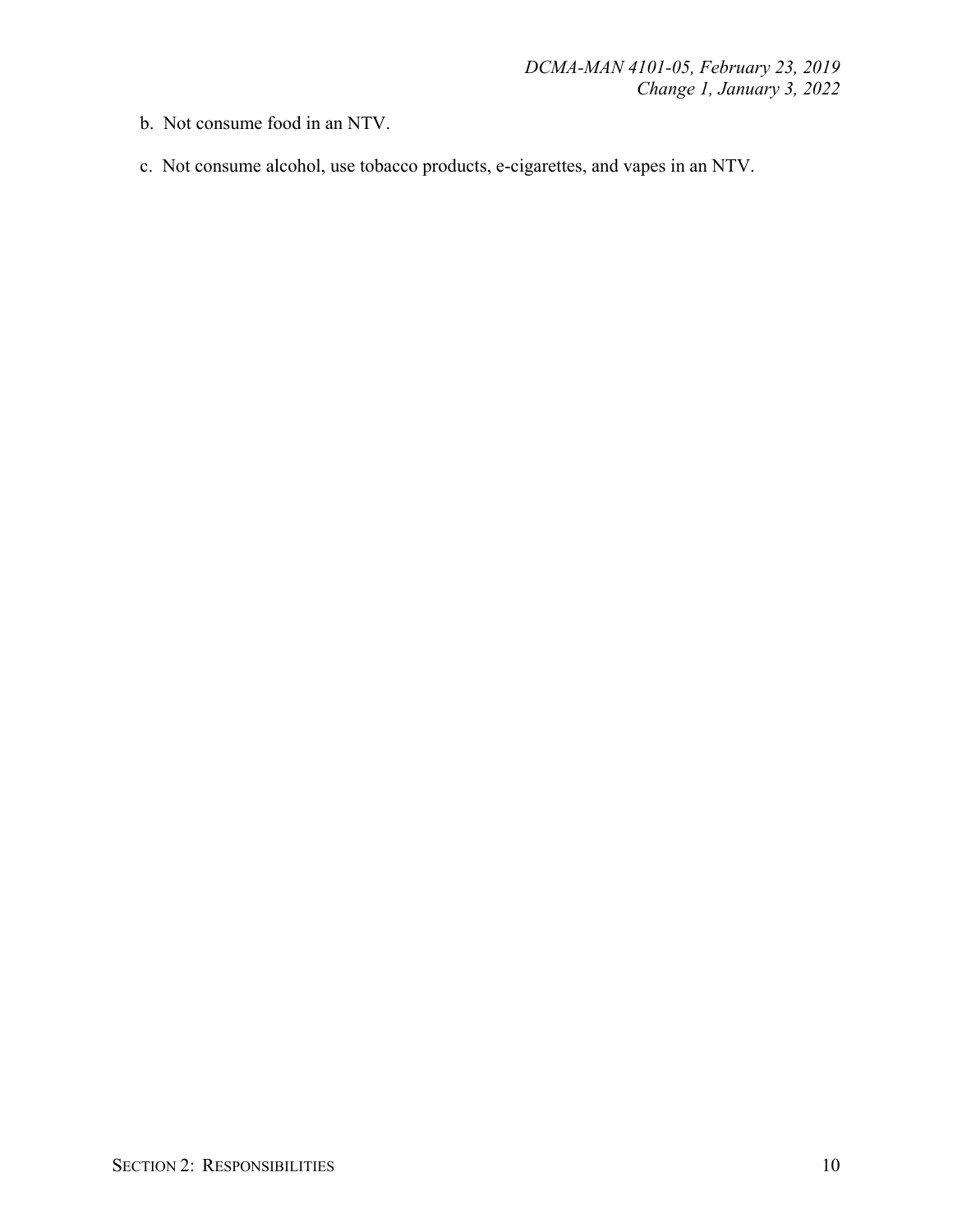- b. Not consume food in an NTV.
- c. Not consume alcohol, use tobacco products, e-cigarettes, and vapes in an NTV.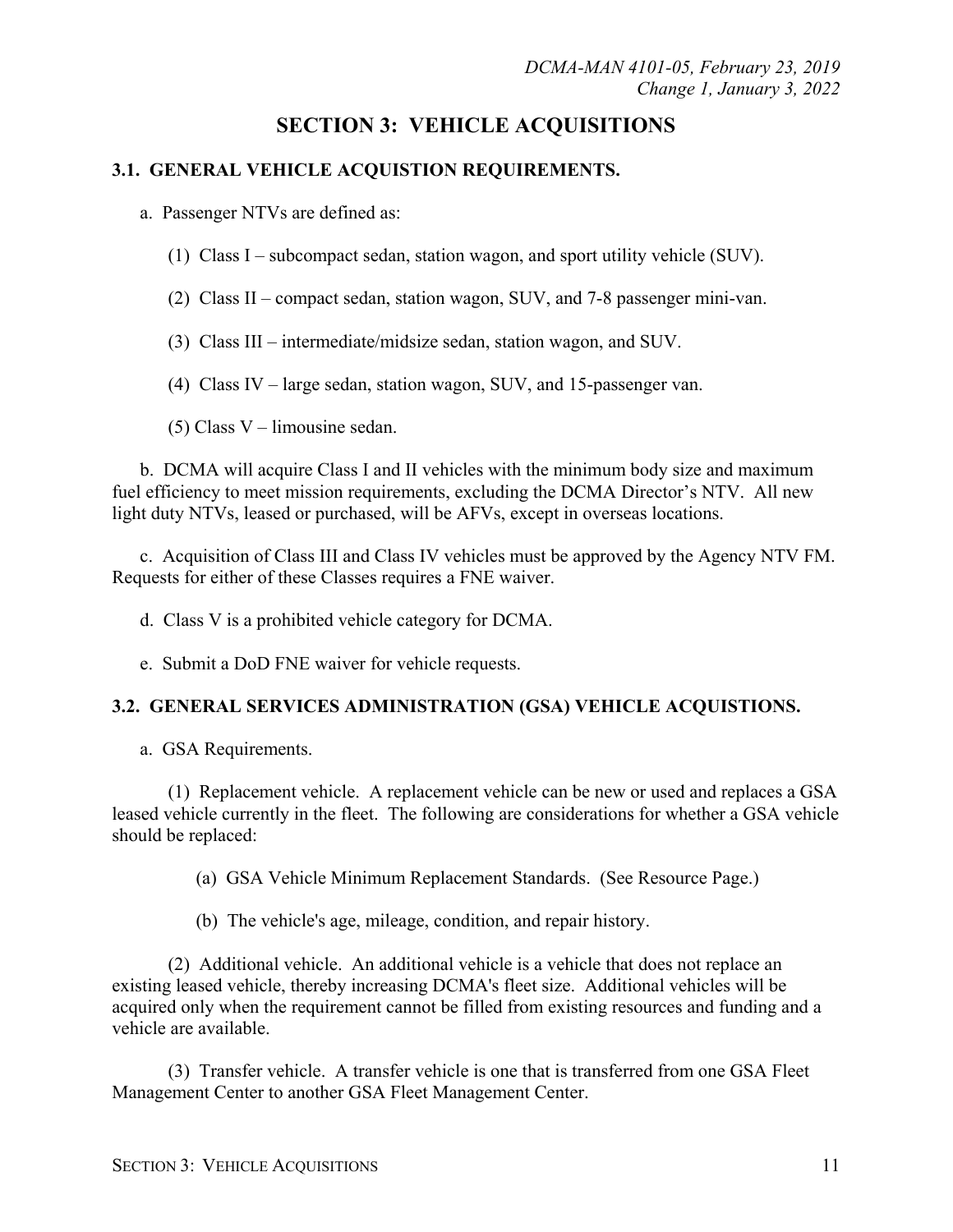# **SECTION 3: VEHICLE ACQUISITIONS**

## **3.1. GENERAL VEHICLE ACQUISTION REQUIREMENTS.**

a. Passenger NTVs are defined as:

- (1) Class I subcompact sedan, station wagon, and sport utility vehicle (SUV).
- (2) Class II compact sedan, station wagon, SUV, and 7-8 passenger mini-van.
- (3) Class III intermediate/midsize sedan, station wagon, and SUV.
- (4) Class IV large sedan, station wagon, SUV, and 15-passenger van.
- (5) Class V limousine sedan.

b. DCMA will acquire Class I and II vehicles with the minimum body size and maximum fuel efficiency to meet mission requirements, excluding the DCMA Director's NTV. All new light duty NTVs, leased or purchased, will be AFVs, except in overseas locations.

c. Acquisition of Class III and Class IV vehicles must be approved by the Agency NTV FM. Requests for either of these Classes requires a FNE waiver.

d. Class V is a prohibited vehicle category for DCMA.

e. Submit a DoD FNE waiver for vehicle requests.

## **3.2. GENERAL SERVICES ADMINISTRATION (GSA) VEHICLE ACQUISTIONS.**

a. GSA Requirements.

(1) Replacement vehicle. A replacement vehicle can be new or used and replaces a GSA leased vehicle currently in the fleet. The following are considerations for whether a GSA vehicle should be replaced:

(a) GSA Vehicle Minimum Replacement Standards. (See Resource Page.)

(b) The vehicle's age, mileage, condition, and repair history.

(2) Additional vehicle. An additional vehicle is a vehicle that does not replace an existing leased vehicle, thereby increasing DCMA's fleet size. Additional vehicles will be acquired only when the requirement cannot be filled from existing resources and funding and a vehicle are available.

(3) Transfer vehicle. A transfer vehicle is one that is transferred from one GSA Fleet Management Center to another GSA Fleet Management Center.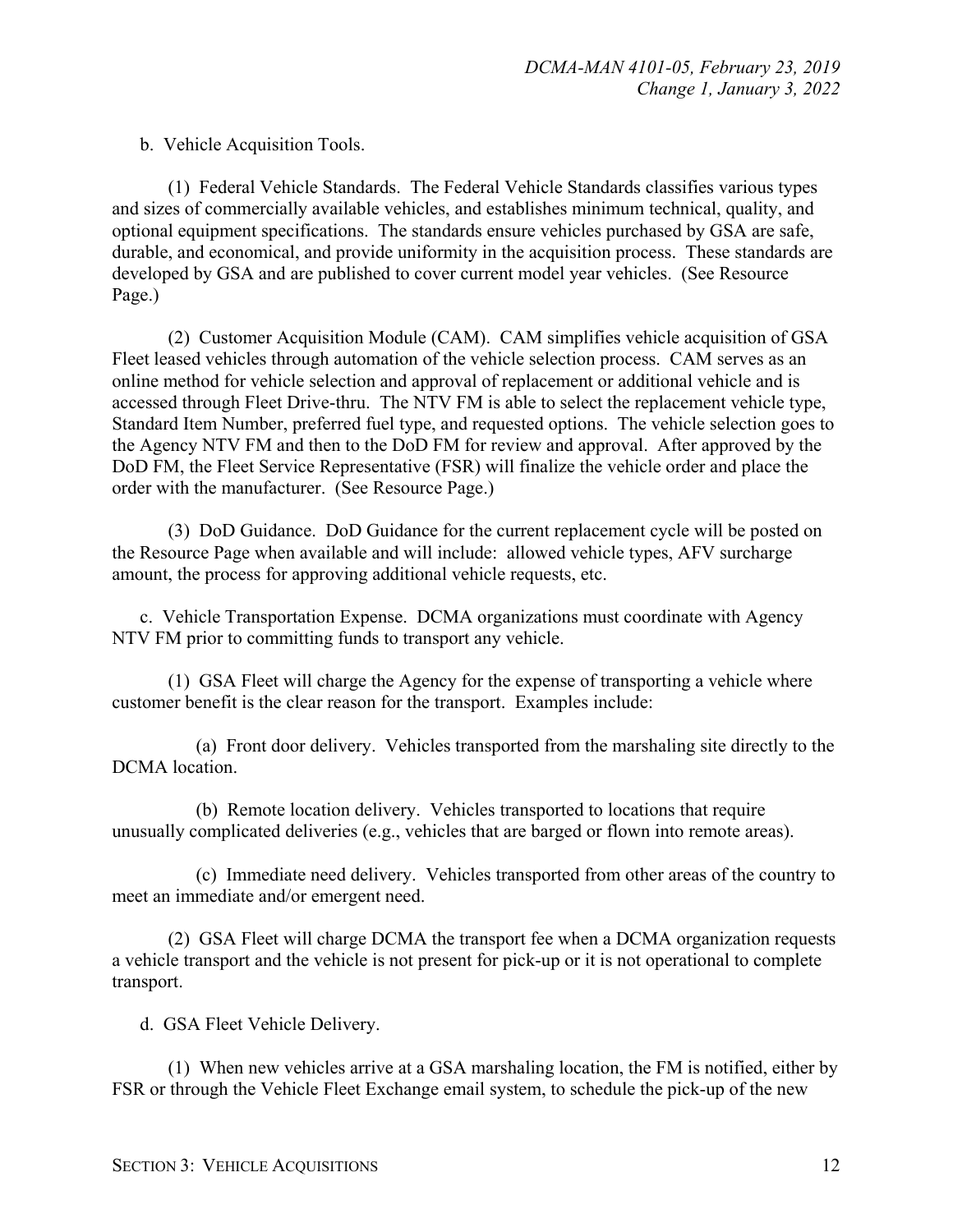b. Vehicle Acquisition Tools.

(1) Federal Vehicle Standards. The Federal Vehicle Standards classifies various types and sizes of commercially available vehicles, and establishes minimum technical, quality, and optional equipment specifications. The standards ensure vehicles purchased by GSA are safe, durable, and economical, and provide uniformity in the acquisition process. These standards are developed by GSA and are published to cover current model year vehicles. (See Resource Page.)

(2) Customer Acquisition Module (CAM). CAM simplifies vehicle acquisition of GSA Fleet leased vehicles through automation of the vehicle selection process. CAM serves as an online method for vehicle selection and approval of replacement or additional vehicle and is accessed through Fleet Drive-thru. The NTV FM is able to select the replacement vehicle type, Standard Item Number, preferred fuel type, and requested options. The vehicle selection goes to the Agency NTV FM and then to the DoD FM for review and approval. After approved by the DoD FM, the Fleet Service Representative (FSR) will finalize the vehicle order and place the order with the manufacturer. (See Resource Page.)

(3) DoD Guidance. DoD Guidance for the current replacement cycle will be posted on the Resource Page when available and will include: allowed vehicle types, AFV surcharge amount, the process for approving additional vehicle requests, etc.

c. Vehicle Transportation Expense. DCMA organizations must coordinate with Agency NTV FM prior to committing funds to transport any vehicle.

(1) GSA Fleet will charge the Agency for the expense of transporting a vehicle where customer benefit is the clear reason for the transport. Examples include:

(a) Front door delivery. Vehicles transported from the marshaling site directly to the DCMA location.

(b) Remote location delivery. Vehicles transported to locations that require unusually complicated deliveries (e.g., vehicles that are barged or flown into remote areas).

(c) Immediate need delivery. Vehicles transported from other areas of the country to meet an immediate and/or emergent need.

(2) GSA Fleet will charge DCMA the transport fee when a DCMA organization requests a vehicle transport and the vehicle is not present for pick-up or it is not operational to complete transport.

d. GSA Fleet Vehicle Delivery.

(1) When new vehicles arrive at a GSA marshaling location, the FM is notified, either by FSR or through the Vehicle Fleet Exchange email system, to schedule the pick-up of the new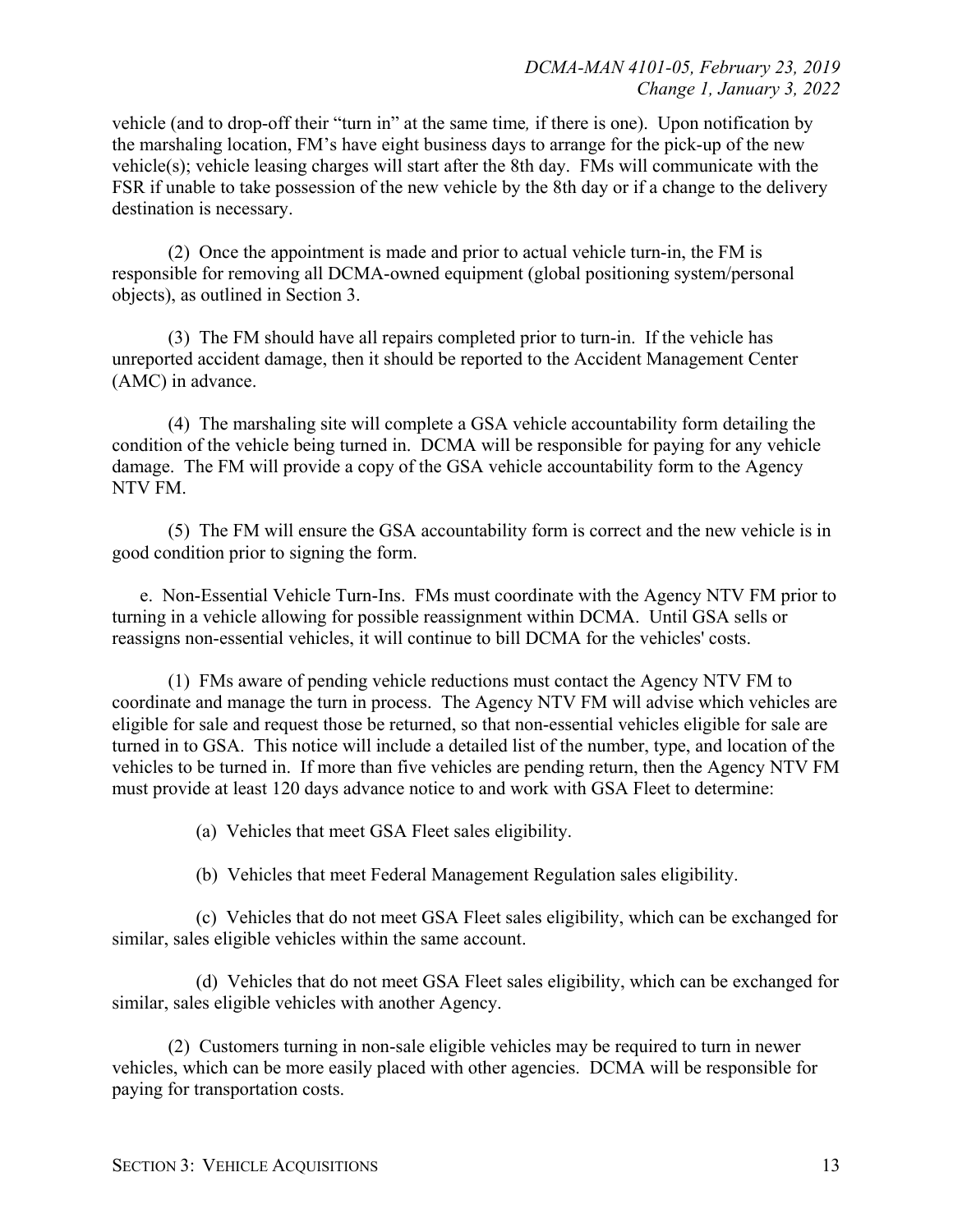vehicle (and to drop-off their "turn in" at the same time*,* if there is one). Upon notification by the marshaling location, FM's have eight business days to arrange for the pick-up of the new vehicle(s); vehicle leasing charges will start after the 8th day. FMs will communicate with the FSR if unable to take possession of the new vehicle by the 8th day or if a change to the delivery destination is necessary.

(2) Once the appointment is made and prior to actual vehicle turn-in, the FM is responsible for removing all DCMA-owned equipment (global positioning system/personal objects), as outlined in Section 3.

(3) The FM should have all repairs completed prior to turn-in. If the vehicle has unreported accident damage, then it should be reported to the Accident Management Center (AMC) in advance.

(4) The marshaling site will complete a GSA vehicle accountability form detailing the condition of the vehicle being turned in. DCMA will be responsible for paying for any vehicle damage. The FM will provide a copy of the GSA vehicle accountability form to the Agency NTV FM.

(5) The FM will ensure the GSA accountability form is correct and the new vehicle is in good condition prior to signing the form.

e. Non-Essential Vehicle Turn-Ins. FMs must coordinate with the Agency NTV FM prior to turning in a vehicle allowing for possible reassignment within DCMA. Until GSA sells or reassigns non-essential vehicles, it will continue to bill DCMA for the vehicles' costs.

(1) FMs aware of pending vehicle reductions must contact the Agency NTV FM to coordinate and manage the turn in process. The Agency NTV FM will advise which vehicles are eligible for sale and request those be returned, so that non-essential vehicles eligible for sale are turned in to GSA. This notice will include a detailed list of the number, type, and location of the vehicles to be turned in. If more than five vehicles are pending return, then the Agency NTV FM must provide at least 120 days advance notice to and work with GSA Fleet to determine:

(a) Vehicles that meet GSA Fleet sales eligibility.

(b) Vehicles that meet Federal Management Regulation sales eligibility.

(c) Vehicles that do not meet GSA Fleet sales eligibility, which can be exchanged for similar, sales eligible vehicles within the same account.

(d) Vehicles that do not meet GSA Fleet sales eligibility, which can be exchanged for similar, sales eligible vehicles with another Agency.

(2) Customers turning in non-sale eligible vehicles may be required to turn in newer vehicles, which can be more easily placed with other agencies. DCMA will be responsible for paying for transportation costs.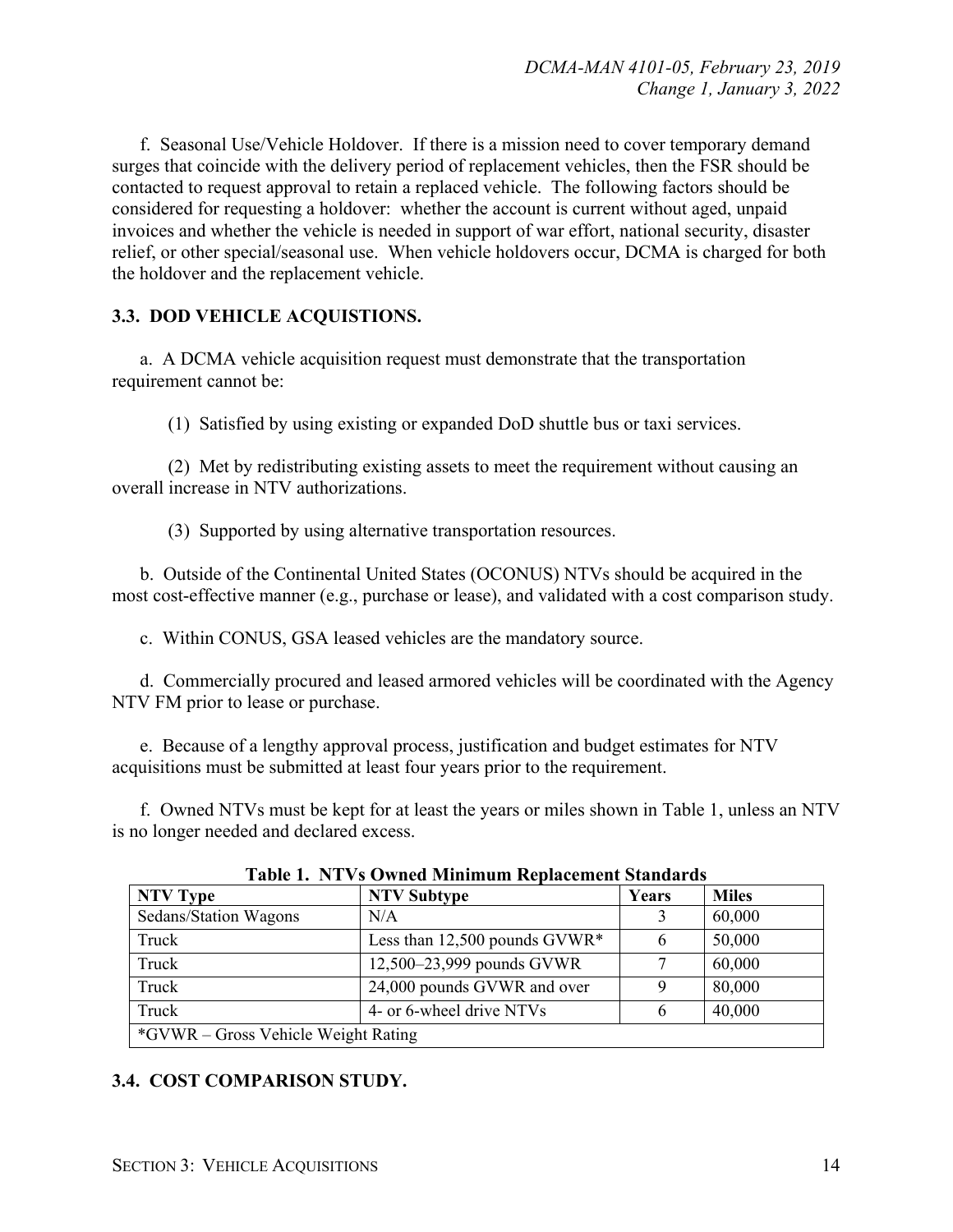f. Seasonal Use/Vehicle Holdover. If there is a mission need to cover temporary demand surges that coincide with the delivery period of replacement vehicles, then the FSR should be contacted to request approval to retain a replaced vehicle. The following factors should be considered for requesting a holdover: whether the account is current without aged, unpaid invoices and whether the vehicle is needed in support of war effort, national security, disaster relief, or other special/seasonal use. When vehicle holdovers occur, DCMA is charged for both the holdover and the replacement vehicle.

## **3.3. DOD VEHICLE ACQUISTIONS.**

a. A DCMA vehicle acquisition request must demonstrate that the transportation requirement cannot be:

(1) Satisfied by using existing or expanded DoD shuttle bus or taxi services.

(2) Met by redistributing existing assets to meet the requirement without causing an overall increase in NTV authorizations.

(3) Supported by using alternative transportation resources.

b. Outside of the Continental United States (OCONUS) NTVs should be acquired in the most cost-effective manner (e.g., purchase or lease), and validated with a cost comparison study.

c. Within CONUS, GSA leased vehicles are the mandatory source.

d. Commercially procured and leased armored vehicles will be coordinated with the Agency NTV FM prior to lease or purchase.

e. Because of a lengthy approval process, justification and budget estimates for NTV acquisitions must be submitted at least four years prior to the requirement.

f. Owned NTVs must be kept for at least the years or miles shown in Table 1, unless an NTV is no longer needed and declared excess.

| Table 1. IVI VS OWNED MINIMUM Replacement Standards |                                 |       |              |
|-----------------------------------------------------|---------------------------------|-------|--------------|
| NTV Type                                            | <b>NTV Subtype</b>              | Years | <b>Miles</b> |
| Sedans/Station Wagons                               | N/A                             |       | 60,000       |
| Truck                                               | Less than 12,500 pounds $GVWR*$ |       | 50,000       |
| Truck                                               | 12,500–23,999 pounds GVWR       |       | 60,000       |
| Truck                                               | 24,000 pounds GVWR and over     |       | 80,000       |
| Truck                                               | 4- or 6-wheel drive NTVs        | 6     | 40,000       |
| *GVWR – Gross Vehicle Weight Rating                 |                                 |       |              |

**Table 1. NTVs Owned Minimum Replacement Standards**

## **3.4. COST COMPARISON STUDY.**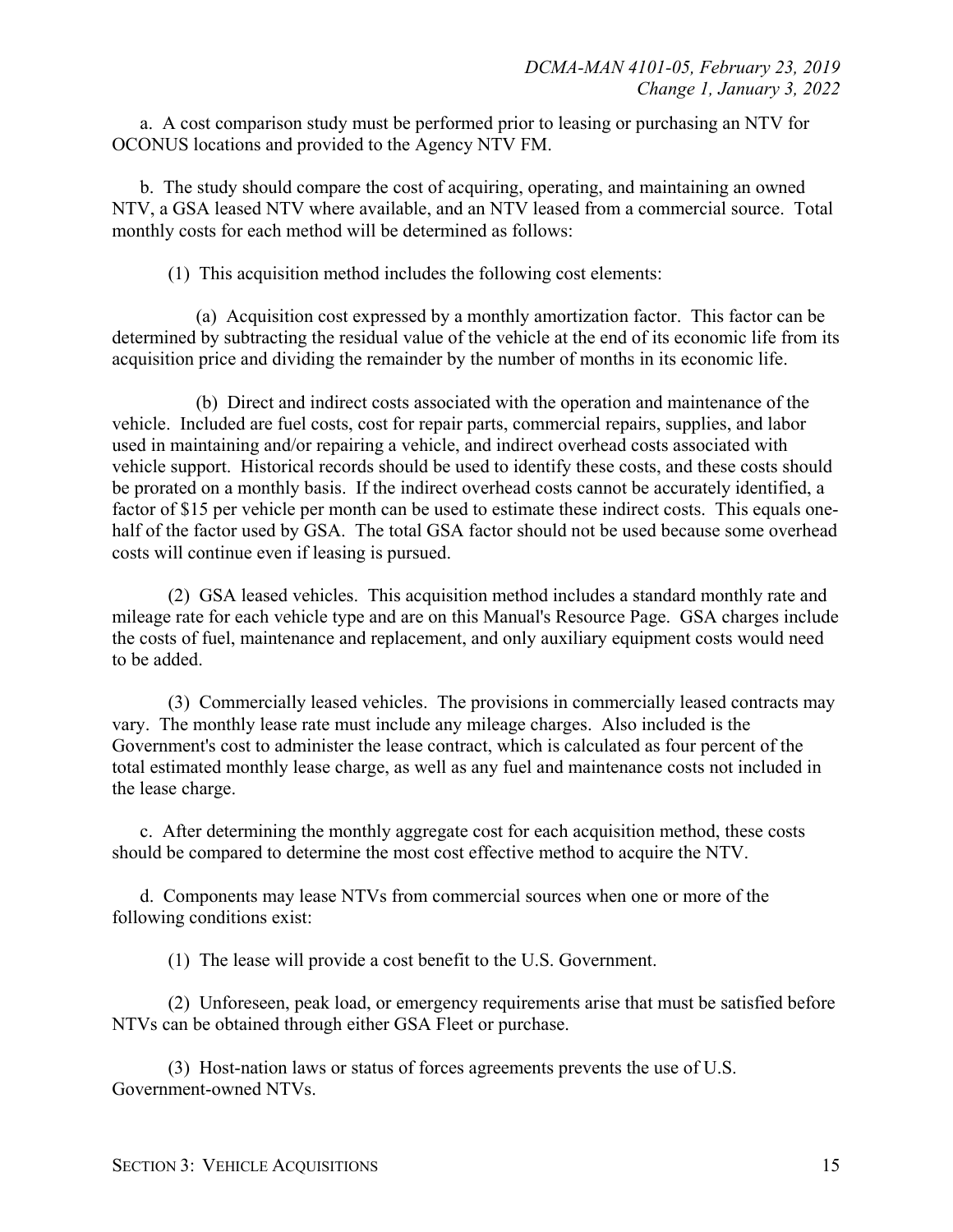a. A cost comparison study must be performed prior to leasing or purchasing an NTV for OCONUS locations and provided to the Agency NTV FM.

b. The study should compare the cost of acquiring, operating, and maintaining an owned NTV, a GSA leased NTV where available, and an NTV leased from a commercial source. Total monthly costs for each method will be determined as follows:

(1) This acquisition method includes the following cost elements:

(a) Acquisition cost expressed by a monthly amortization factor. This factor can be determined by subtracting the residual value of the vehicle at the end of its economic life from its acquisition price and dividing the remainder by the number of months in its economic life.

(b) Direct and indirect costs associated with the operation and maintenance of the vehicle. Included are fuel costs, cost for repair parts, commercial repairs, supplies, and labor used in maintaining and/or repairing a vehicle, and indirect overhead costs associated with vehicle support. Historical records should be used to identify these costs, and these costs should be prorated on a monthly basis. If the indirect overhead costs cannot be accurately identified, a factor of \$15 per vehicle per month can be used to estimate these indirect costs. This equals onehalf of the factor used by GSA. The total GSA factor should not be used because some overhead costs will continue even if leasing is pursued.

(2) GSA leased vehicles. This acquisition method includes a standard monthly rate and mileage rate for each vehicle type and are on this Manual's Resource Page. GSA charges include the costs of fuel, maintenance and replacement, and only auxiliary equipment costs would need to be added.

(3) Commercially leased vehicles. The provisions in commercially leased contracts may vary. The monthly lease rate must include any mileage charges. Also included is the Government's cost to administer the lease contract, which is calculated as four percent of the total estimated monthly lease charge, as well as any fuel and maintenance costs not included in the lease charge.

c. After determining the monthly aggregate cost for each acquisition method, these costs should be compared to determine the most cost effective method to acquire the NTV.

d. Components may lease NTVs from commercial sources when one or more of the following conditions exist:

(1) The lease will provide a cost benefit to the U.S. Government.

(2) Unforeseen, peak load, or emergency requirements arise that must be satisfied before NTVs can be obtained through either GSA Fleet or purchase.

(3) Host-nation laws or status of forces agreements prevents the use of U.S. Government-owned NTVs.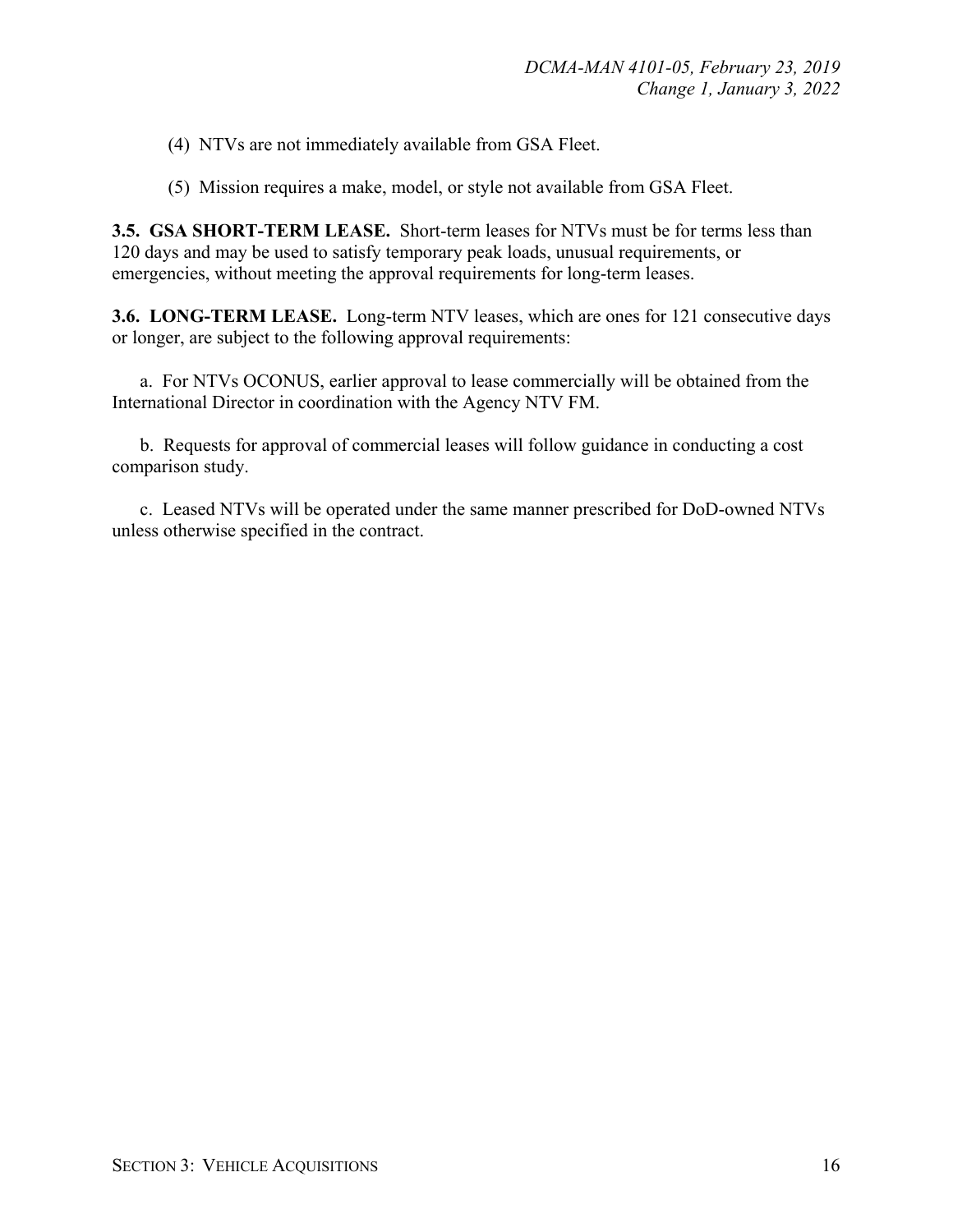(4) NTVs are not immediately available from GSA Fleet.

(5) Mission requires a make, model, or style not available from GSA Fleet.

**3.5. GSA SHORT-TERM LEASE.** Short-term leases for NTVs must be for terms less than 120 days and may be used to satisfy temporary peak loads, unusual requirements, or emergencies, without meeting the approval requirements for long-term leases.

**3.6. LONG-TERM LEASE.** Long-term NTV leases, which are ones for 121 consecutive days or longer, are subject to the following approval requirements:

a. For NTVs OCONUS, earlier approval to lease commercially will be obtained from the International Director in coordination with the Agency NTV FM.

b. Requests for approval of commercial leases will follow guidance in conducting a cost comparison study.

c. Leased NTVs will be operated under the same manner prescribed for DoD-owned NTVs unless otherwise specified in the contract.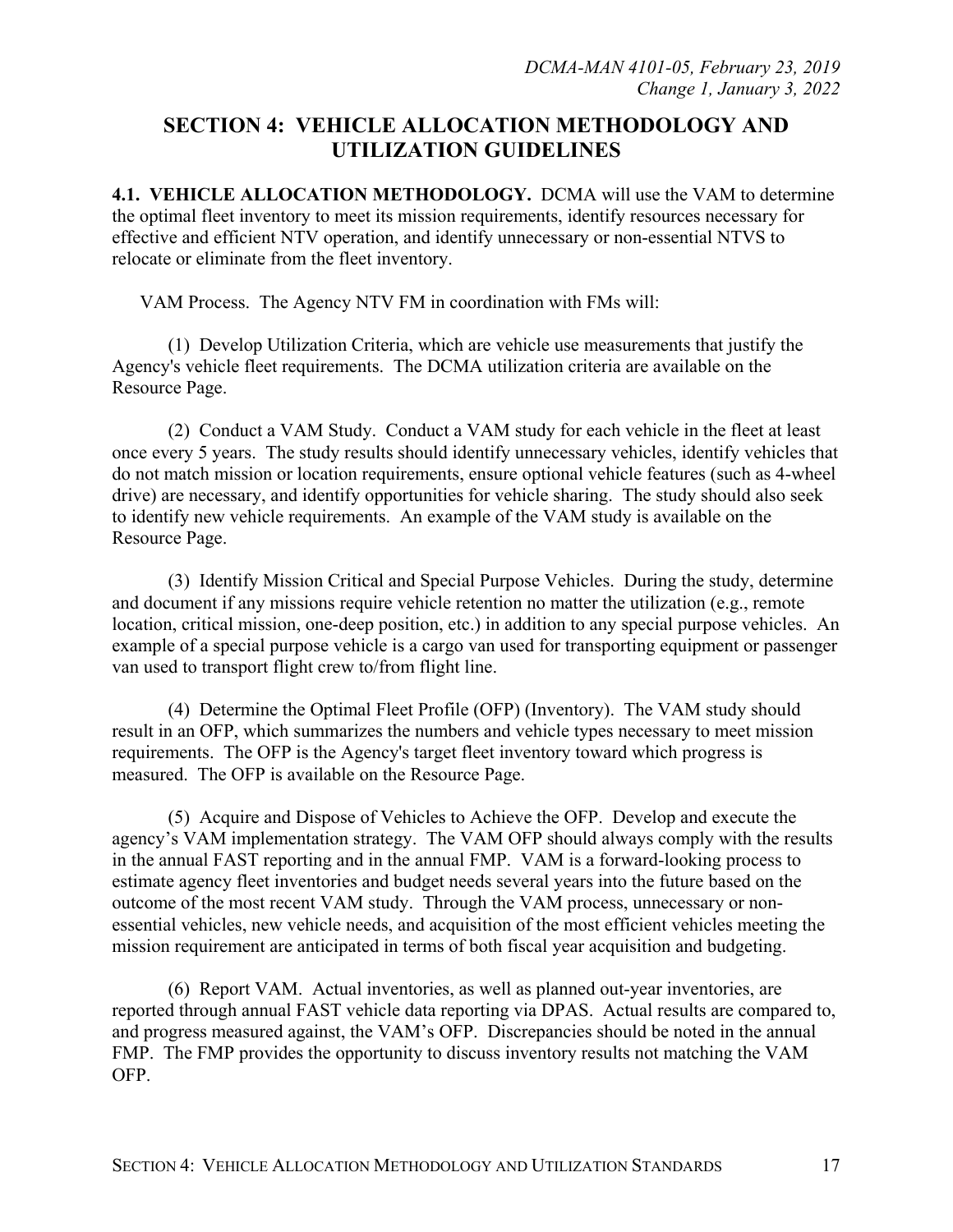# **SECTION 4: VEHICLE ALLOCATION METHODOLOGY AND UTILIZATION GUIDELINES**

**4.1. VEHICLE ALLOCATION METHODOLOGY.** DCMA will use the VAM to determine the optimal fleet inventory to meet its mission requirements, identify resources necessary for effective and efficient NTV operation, and identify unnecessary or non-essential NTVS to relocate or eliminate from the fleet inventory.

VAM Process. The Agency NTV FM in coordination with FMs will:

(1) Develop Utilization Criteria, which are vehicle use measurements that justify the Agency's vehicle fleet requirements. The DCMA utilization criteria are available on the Resource Page.

(2) Conduct a VAM Study. Conduct a VAM study for each vehicle in the fleet at least once every 5 years. The study results should identify unnecessary vehicles, identify vehicles that do not match mission or location requirements, ensure optional vehicle features (such as 4-wheel drive) are necessary, and identify opportunities for vehicle sharing. The study should also seek to identify new vehicle requirements. An example of the VAM study is available on the Resource Page.

(3) Identify Mission Critical and Special Purpose Vehicles. During the study, determine and document if any missions require vehicle retention no matter the utilization (e.g., remote location, critical mission, one-deep position, etc.) in addition to any special purpose vehicles. An example of a special purpose vehicle is a cargo van used for transporting equipment or passenger van used to transport flight crew to/from flight line.

(4) Determine the Optimal Fleet Profile (OFP) (Inventory). The VAM study should result in an OFP, which summarizes the numbers and vehicle types necessary to meet mission requirements. The OFP is the Agency's target fleet inventory toward which progress is measured. The OFP is available on the Resource Page.

(5) Acquire and Dispose of Vehicles to Achieve the OFP. Develop and execute the agency's VAM implementation strategy. The VAM OFP should always comply with the results in the annual FAST reporting and in the annual FMP. VAM is a forward-looking process to estimate agency fleet inventories and budget needs several years into the future based on the outcome of the most recent VAM study. Through the VAM process, unnecessary or nonessential vehicles, new vehicle needs, and acquisition of the most efficient vehicles meeting the mission requirement are anticipated in terms of both fiscal year acquisition and budgeting.

(6) Report VAM. Actual inventories, as well as planned out-year inventories, are reported through annual FAST vehicle data reporting via DPAS. Actual results are compared to, and progress measured against, the VAM's OFP. Discrepancies should be noted in the annual FMP. The FMP provides the opportunity to discuss inventory results not matching the VAM OFP.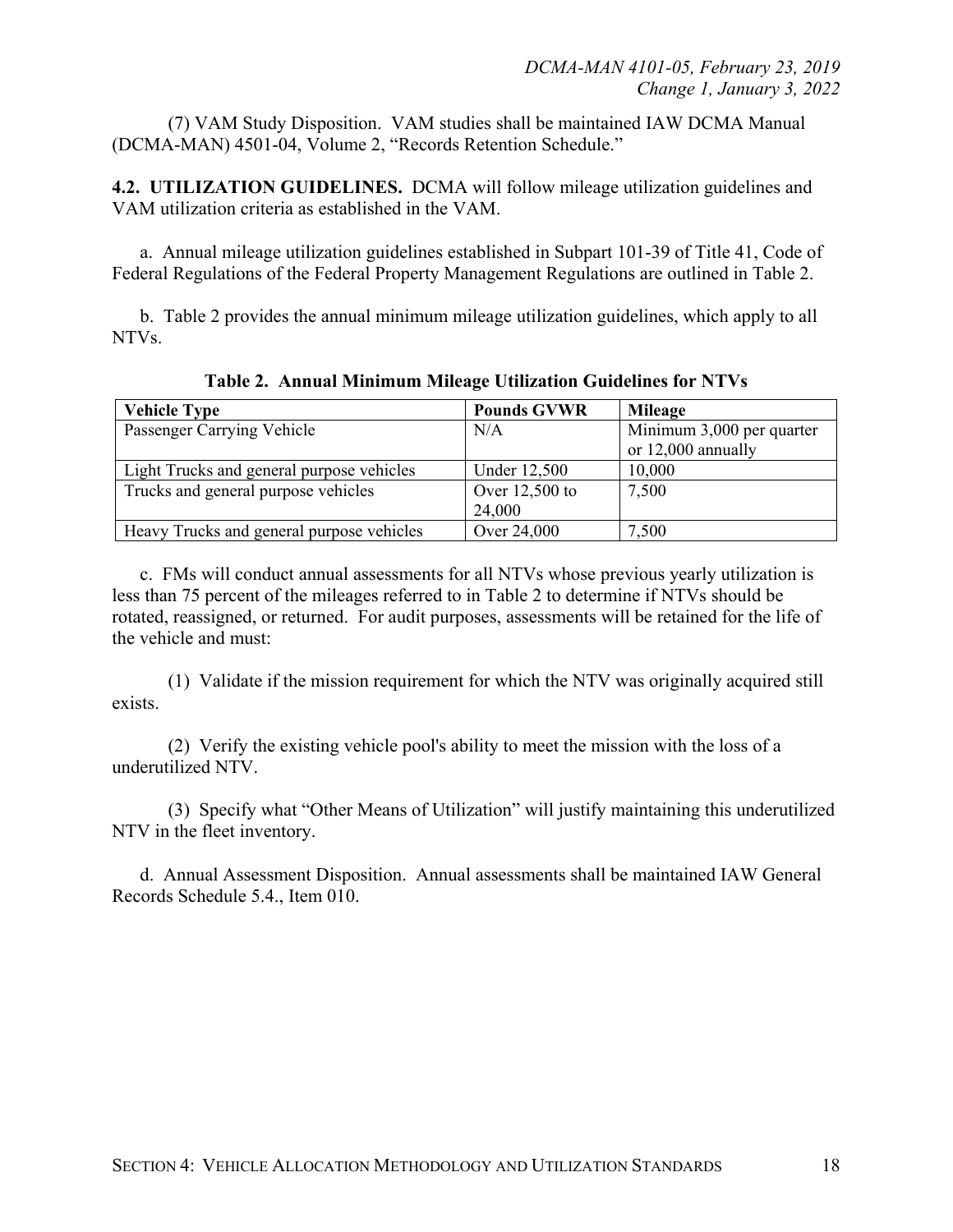(7) VAM Study Disposition. VAM studies shall be maintained IAW DCMA Manual (DCMA-MAN) 4501-04, Volume 2, "Records Retention Schedule."

**4.2. UTILIZATION GUIDELINES.** DCMA will follow mileage utilization guidelines and VAM utilization criteria as established in the VAM.

a. Annual mileage utilization guidelines established in Subpart 101-39 of Title 41, Code of Federal Regulations of the Federal Property Management Regulations are outlined in Table 2.

b. Table 2 provides the annual minimum mileage utilization guidelines, which apply to all NTVs.

| <b>Vehicle Type</b>                       | <b>Pounds GVWR</b>       | Mileage                                         |
|-------------------------------------------|--------------------------|-------------------------------------------------|
| Passenger Carrying Vehicle                | N/A                      | Minimum 3,000 per quarter<br>or 12,000 annually |
| Light Trucks and general purpose vehicles | Under 12,500             | 10,000                                          |
| Trucks and general purpose vehicles       | Over 12,500 to<br>24,000 | 7,500                                           |
| Heavy Trucks and general purpose vehicles | Over 24,000              | 7,500                                           |

**Table 2. Annual Minimum Mileage Utilization Guidelines for NTVs**

c. FMs will conduct annual assessments for all NTVs whose previous yearly utilization is less than 75 percent of the mileages referred to in Table 2 to determine if NTVs should be rotated, reassigned, or returned. For audit purposes, assessments will be retained for the life of the vehicle and must:

(1) Validate if the mission requirement for which the NTV was originally acquired still exists.

(2) Verify the existing vehicle pool's ability to meet the mission with the loss of a underutilized NTV.

(3) Specify what "Other Means of Utilization" will justify maintaining this underutilized NTV in the fleet inventory.

d. Annual Assessment Disposition. Annual assessments shall be maintained IAW General Records Schedule 5.4., Item 010.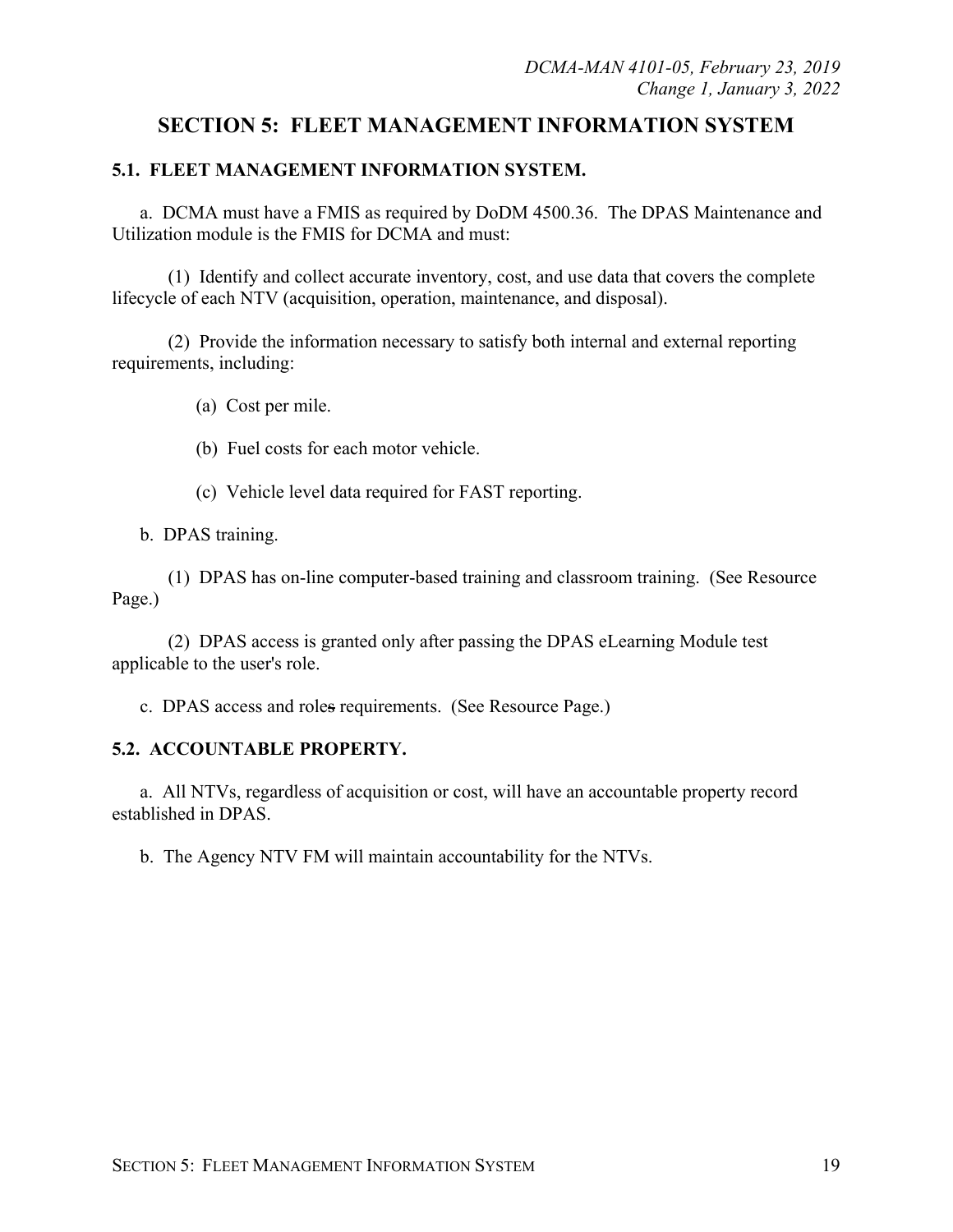# **SECTION 5: FLEET MANAGEMENT INFORMATION SYSTEM**

## **5.1. FLEET MANAGEMENT INFORMATION SYSTEM.**

a. DCMA must have a FMIS as required by DoDM 4500.36. The DPAS Maintenance and Utilization module is the FMIS for DCMA and must:

(1) Identify and collect accurate inventory, cost, and use data that covers the complete lifecycle of each NTV (acquisition, operation, maintenance, and disposal).

(2) Provide the information necessary to satisfy both internal and external reporting requirements, including:

(a) Cost per mile.

- (b) Fuel costs for each motor vehicle.
- (c) Vehicle level data required for FAST reporting.

b. DPAS training.

(1) DPAS has on-line computer-based training and classroom training. (See Resource Page.)

(2) DPAS access is granted only after passing the DPAS eLearning Module test applicable to the user's role.

c. DPAS access and roles requirements. (See Resource Page.)

## **5.2. ACCOUNTABLE PROPERTY.**

a. All NTVs, regardless of acquisition or cost, will have an accountable property record established in DPAS.

b. The Agency NTV FM will maintain accountability for the NTVs.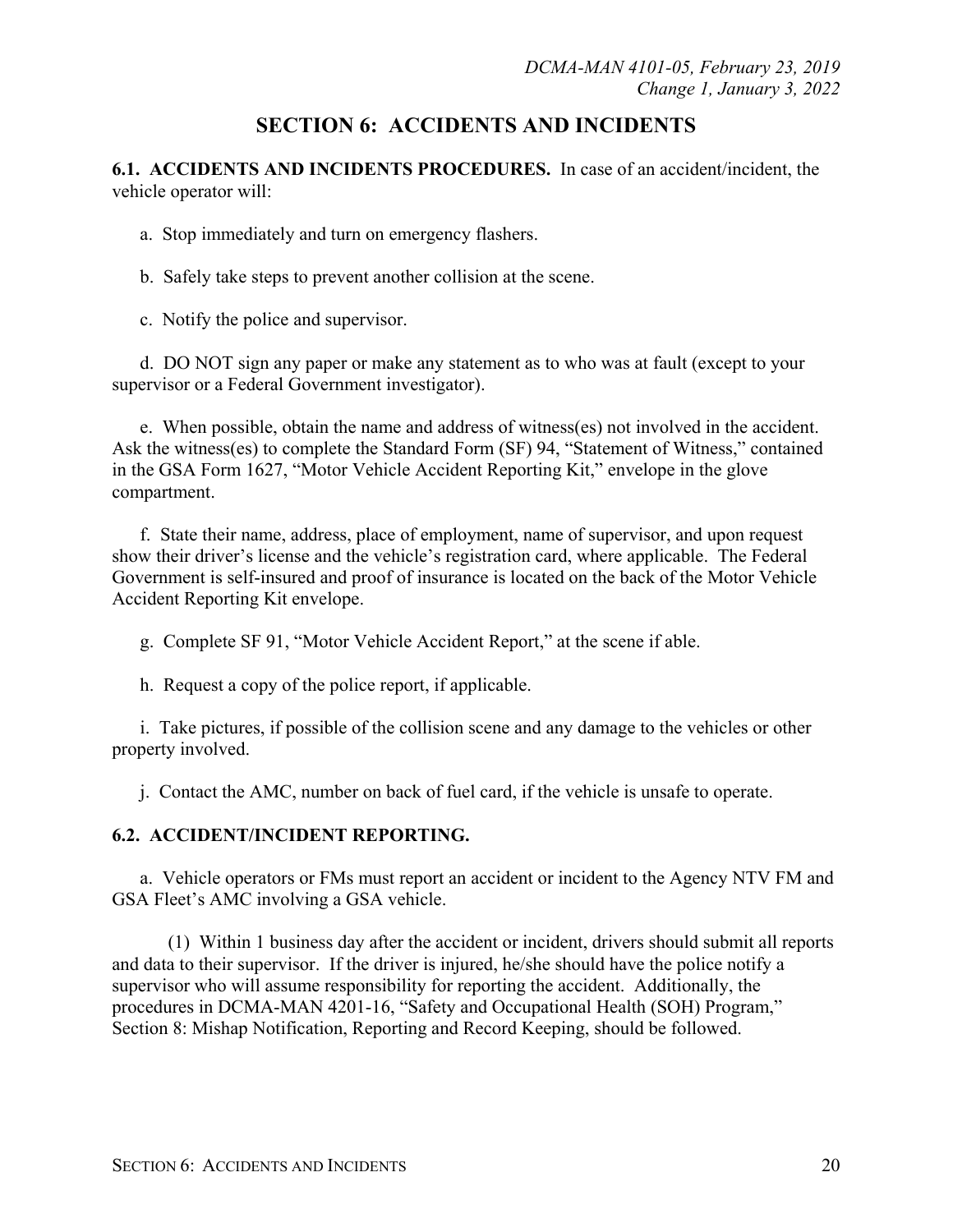# **SECTION 6: ACCIDENTS AND INCIDENTS**

**6.1. ACCIDENTS AND INCIDENTS PROCEDURES.** In case of an accident/incident, the vehicle operator will:

a. Stop immediately and turn on emergency flashers.

b. Safely take steps to prevent another collision at the scene.

c. Notify the police and supervisor.

d. DO NOT sign any paper or make any statement as to who was at fault (except to your supervisor or a Federal Government investigator).

e. When possible, obtain the name and address of witness(es) not involved in the accident. Ask the witness(es) to complete the Standard Form (SF) 94, "Statement of Witness," contained in the GSA Form 1627, "Motor Vehicle Accident Reporting Kit," envelope in the glove compartment.

f. State their name, address, place of employment, name of supervisor, and upon request show their driver's license and the vehicle's registration card, where applicable. The Federal Government is self-insured and proof of insurance is located on the back of the Motor Vehicle Accident Reporting Kit envelope.

g. Complete SF 91, "Motor Vehicle Accident Report," at the scene if able.

h. Request a copy of the police report, if applicable.

i. Take pictures, if possible of the collision scene and any damage to the vehicles or other property involved.

j. Contact the AMC, number on back of fuel card, if the vehicle is unsafe to operate.

## **6.2. ACCIDENT/INCIDENT REPORTING.**

a. Vehicle operators or FMs must report an accident or incident to the Agency NTV FM and GSA Fleet's AMC involving a GSA vehicle.

(1) Within 1 business day after the accident or incident, drivers should submit all reports and data to their supervisor. If the driver is injured, he/she should have the police notify a supervisor who will assume responsibility for reporting the accident. Additionally, the procedures in DCMA-MAN 4201-16, "Safety and Occupational Health (SOH) Program," Section 8: Mishap Notification, Reporting and Record Keeping, should be followed.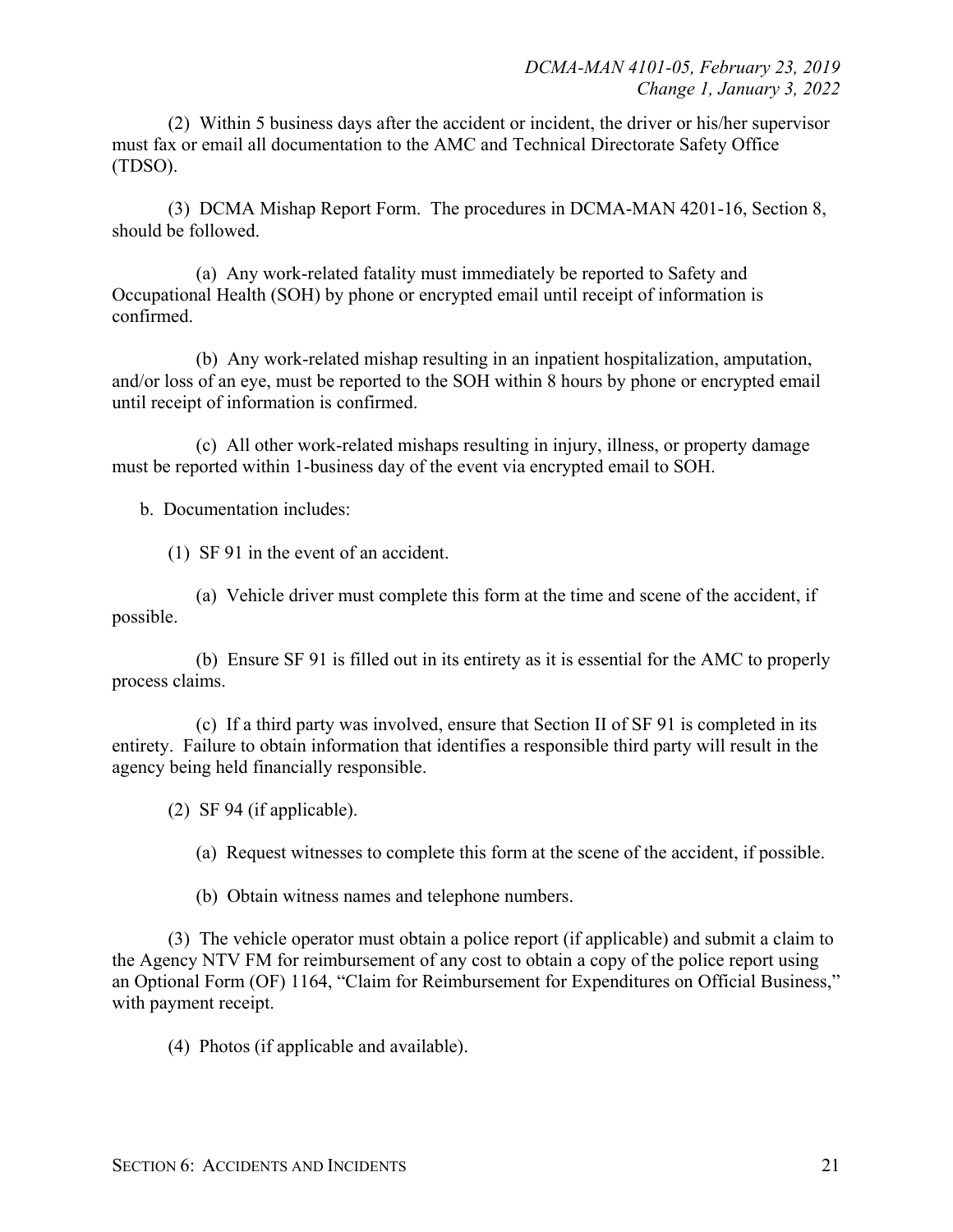(2) Within 5 business days after the accident or incident, the driver or his/her supervisor must fax or email all documentation to the AMC and Technical Directorate Safety Office (TDSO).

(3) DCMA Mishap Report Form. The procedures in DCMA-MAN 4201-16, Section 8, should be followed.

(a) Any work-related fatality must immediately be reported to Safety and Occupational Health (SOH) by phone or encrypted email until receipt of information is confirmed.

(b) Any work-related mishap resulting in an inpatient hospitalization, amputation, and/or loss of an eye, must be reported to the SOH within 8 hours by phone or encrypted email until receipt of information is confirmed.

(c) All other work-related mishaps resulting in injury, illness, or property damage must be reported within 1-business day of the event via encrypted email to SOH.

b. Documentation includes:

(1) SF 91 in the event of an accident.

(a) Vehicle driver must complete this form at the time and scene of the accident, if possible.

(b) Ensure SF 91 is filled out in its entirety as it is essential for the AMC to properly process claims.

(c) If a third party was involved, ensure that Section II of SF 91 is completed in its entirety. Failure to obtain information that identifies a responsible third party will result in the agency being held financially responsible.

(2) SF 94 (if applicable).

(a) Request witnesses to complete this form at the scene of the accident, if possible.

(b) Obtain witness names and telephone numbers.

(3) The vehicle operator must obtain a police report (if applicable) and submit a claim to the Agency NTV FM for reimbursement of any cost to obtain a copy of the police report using an Optional Form (OF) 1164, "Claim for Reimbursement for Expenditures on Official Business," with payment receipt.

(4) Photos (if applicable and available).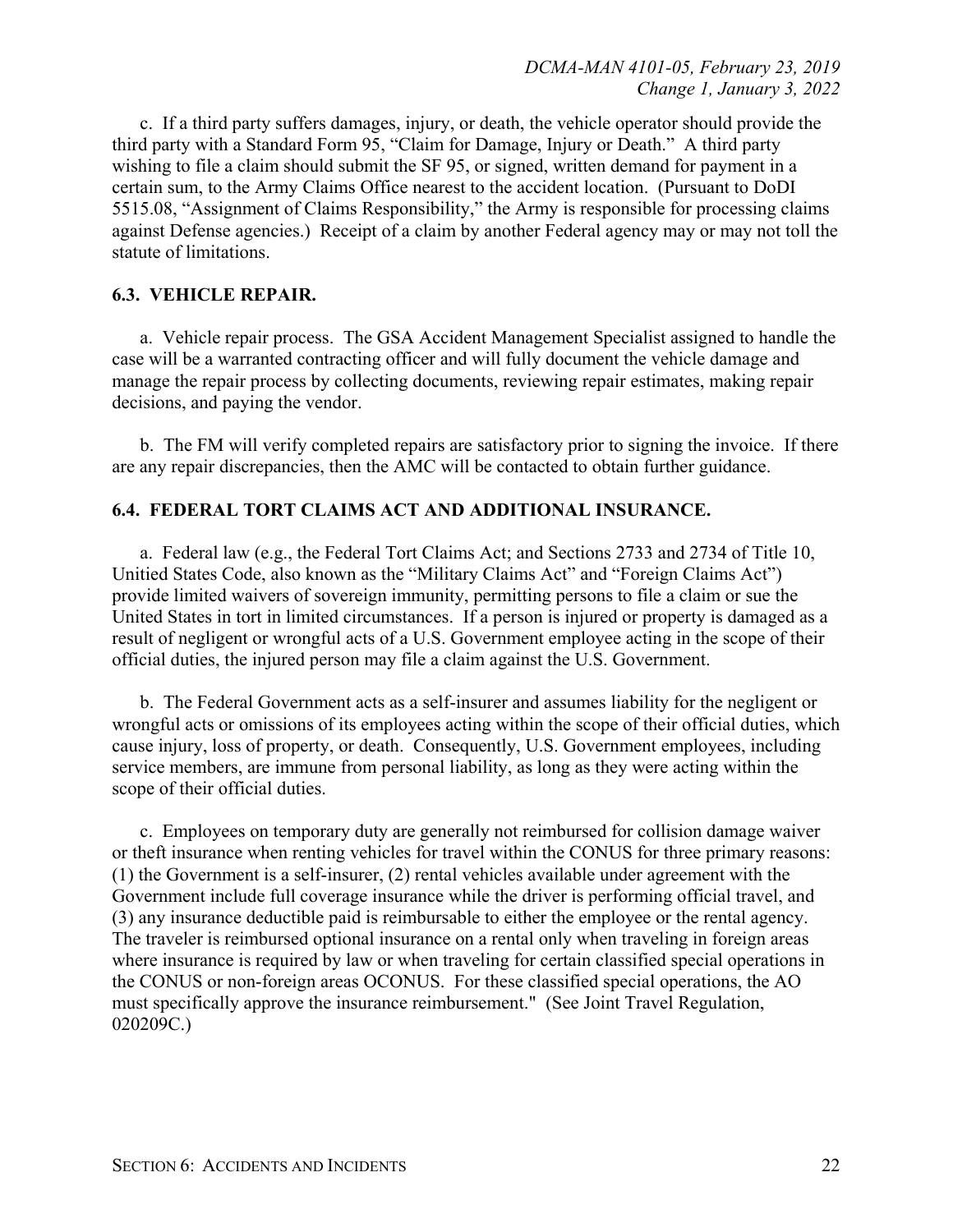c. If a third party suffers damages, injury, or death, the vehicle operator should provide the third party with a Standard Form 95, "Claim for Damage, Injury or Death." A third party wishing to file a claim should submit the SF 95, or signed, written demand for payment in a certain sum, to the Army Claims Office nearest to the accident location. (Pursuant to DoDI 5515.08, "Assignment of Claims Responsibility," the Army is responsible for processing claims against Defense agencies.) Receipt of a claim by another Federal agency may or may not toll the statute of limitations.

#### **6.3. VEHICLE REPAIR.**

a. Vehicle repair process. The GSA Accident Management Specialist assigned to handle the case will be a warranted contracting officer and will fully document the vehicle damage and manage the repair process by collecting documents, reviewing repair estimates, making repair decisions, and paying the vendor.

b. The FM will verify completed repairs are satisfactory prior to signing the invoice. If there are any repair discrepancies, then the AMC will be contacted to obtain further guidance.

#### **6.4. FEDERAL TORT CLAIMS ACT AND ADDITIONAL INSURANCE.**

a. Federal law (e.g., the Federal Tort Claims Act; and Sections 2733 and 2734 of Title 10, Unitied States Code, also known as the "Military Claims Act" and "Foreign Claims Act") provide limited waivers of sovereign immunity, permitting persons to file a claim or sue the United States in tort in limited circumstances. If a person is injured or property is damaged as a result of negligent or wrongful acts of a U.S. Government employee acting in the scope of their official duties, the injured person may file a claim against the U.S. Government.

b. The Federal Government acts as a self-insurer and assumes liability for the negligent or wrongful acts or omissions of its employees acting within the scope of their official duties, which cause injury, loss of property, or death. Consequently, U.S. Government employees, including service members, are immune from personal liability, as long as they were acting within the scope of their official duties.

c. Employees on temporary duty are generally not reimbursed for collision damage waiver or theft insurance when renting vehicles for travel within the CONUS for three primary reasons: (1) the Government is a self-insurer, (2) rental vehicles available under agreement with the Government include full coverage insurance while the driver is performing official travel, and (3) any insurance deductible paid is reimbursable to either the employee or the rental agency. The traveler is reimbursed optional insurance on a rental only when traveling in foreign areas where insurance is required by law or when traveling for certain classified special operations in the CONUS or non-foreign areas OCONUS. For these classified special operations, the AO must specifically approve the insurance reimbursement." (See Joint Travel Regulation, 020209C.)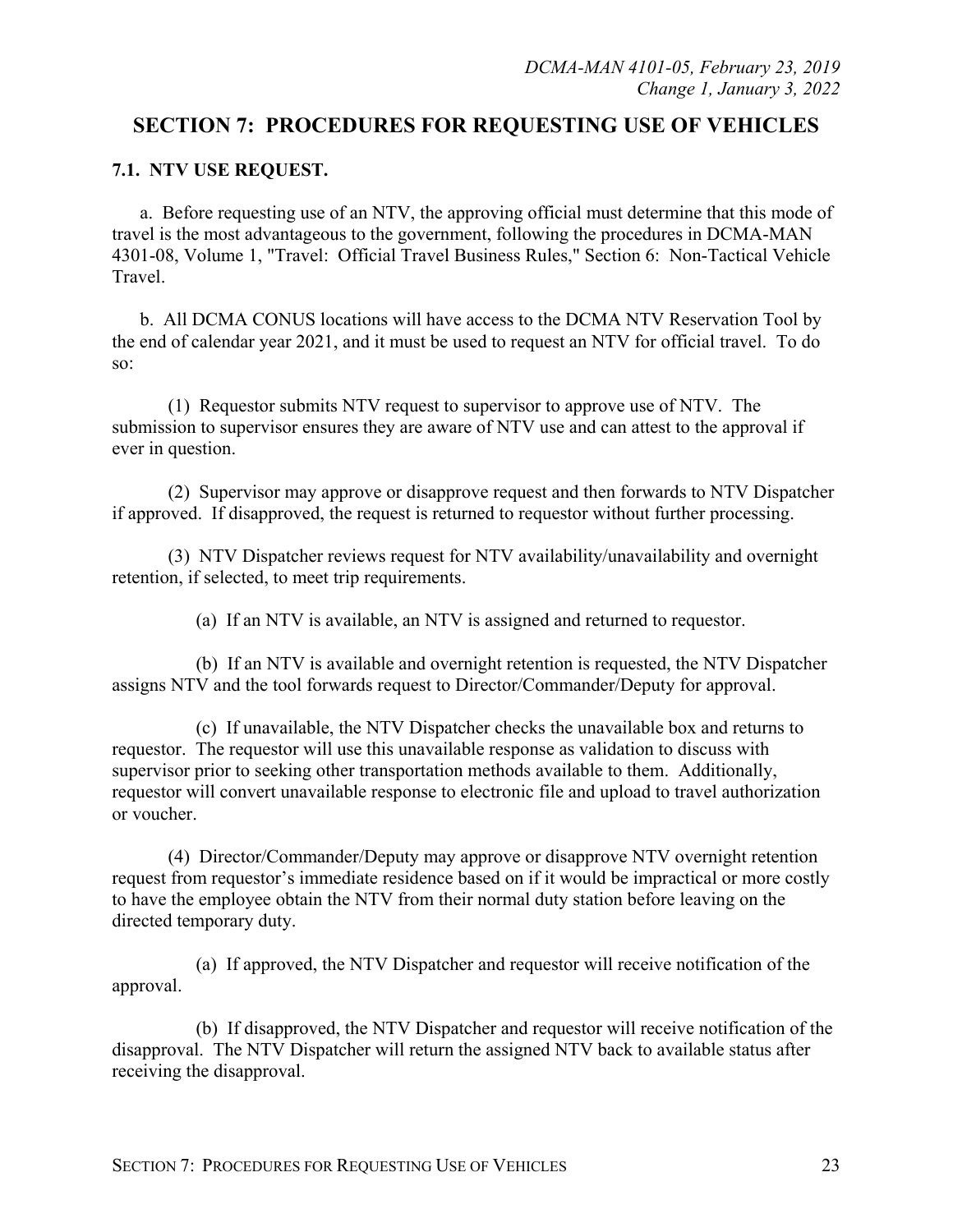# **SECTION 7: PROCEDURES FOR REQUESTING USE OF VEHICLES**

## **7.1. NTV USE REQUEST.**

a. Before requesting use of an NTV, the approving official must determine that this mode of travel is the most advantageous to the government, following the procedures in DCMA-MAN 4301-08, Volume 1, "Travel: Official Travel Business Rules," Section 6: Non-Tactical Vehicle Travel.

b. All DCMA CONUS locations will have access to the DCMA NTV Reservation Tool by the end of calendar year 2021, and it must be used to request an NTV for official travel. To do so:

(1) Requestor submits NTV request to supervisor to approve use of NTV. The submission to supervisor ensures they are aware of NTV use and can attest to the approval if ever in question.

(2) Supervisor may approve or disapprove request and then forwards to NTV Dispatcher if approved. If disapproved, the request is returned to requestor without further processing.

(3) NTV Dispatcher reviews request for NTV availability/unavailability and overnight retention, if selected, to meet trip requirements.

(a) If an NTV is available, an NTV is assigned and returned to requestor.

(b) If an NTV is available and overnight retention is requested, the NTV Dispatcher assigns NTV and the tool forwards request to Director/Commander/Deputy for approval.

(c) If unavailable, the NTV Dispatcher checks the unavailable box and returns to requestor. The requestor will use this unavailable response as validation to discuss with supervisor prior to seeking other transportation methods available to them. Additionally, requestor will convert unavailable response to electronic file and upload to travel authorization or voucher.

(4) Director/Commander/Deputy may approve or disapprove NTV overnight retention request from requestor's immediate residence based on if it would be impractical or more costly to have the employee obtain the NTV from their normal duty station before leaving on the directed temporary duty.

(a) If approved, the NTV Dispatcher and requestor will receive notification of the approval.

(b) If disapproved, the NTV Dispatcher and requestor will receive notification of the disapproval. The NTV Dispatcher will return the assigned NTV back to available status after receiving the disapproval.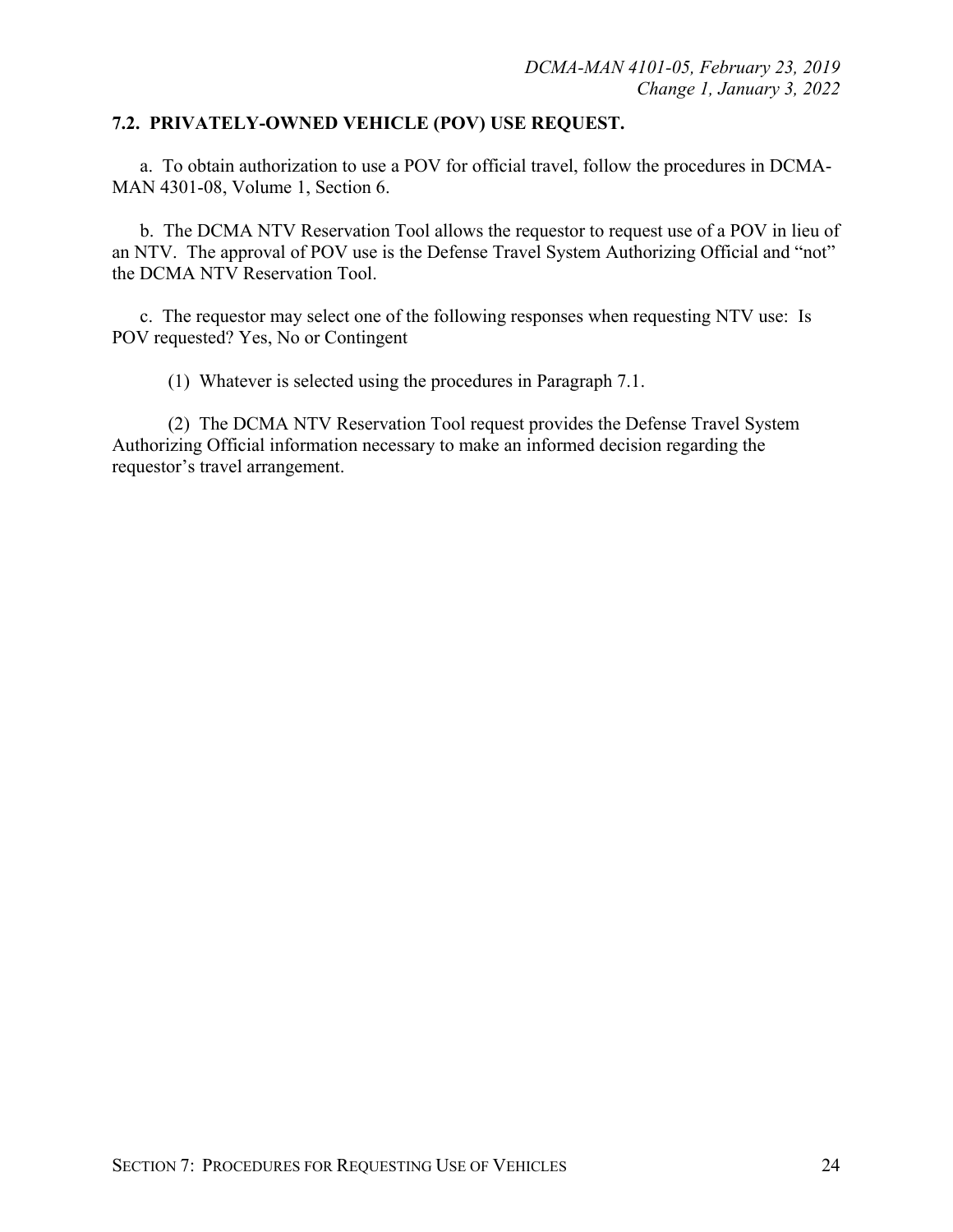#### **7.2. PRIVATELY-OWNED VEHICLE (POV) USE REQUEST.**

a. To obtain authorization to use a POV for official travel, follow the procedures in DCMA-MAN 4301-08, Volume 1, Section 6.

b. The DCMA NTV Reservation Tool allows the requestor to request use of a POV in lieu of an NTV. The approval of POV use is the Defense Travel System Authorizing Official and "not" the DCMA NTV Reservation Tool.

c. The requestor may select one of the following responses when requesting NTV use: Is POV requested? Yes, No or Contingent

(1) Whatever is selected using the procedures in Paragraph 7.1.

(2) The DCMA NTV Reservation Tool request provides the Defense Travel System Authorizing Official information necessary to make an informed decision regarding the requestor's travel arrangement.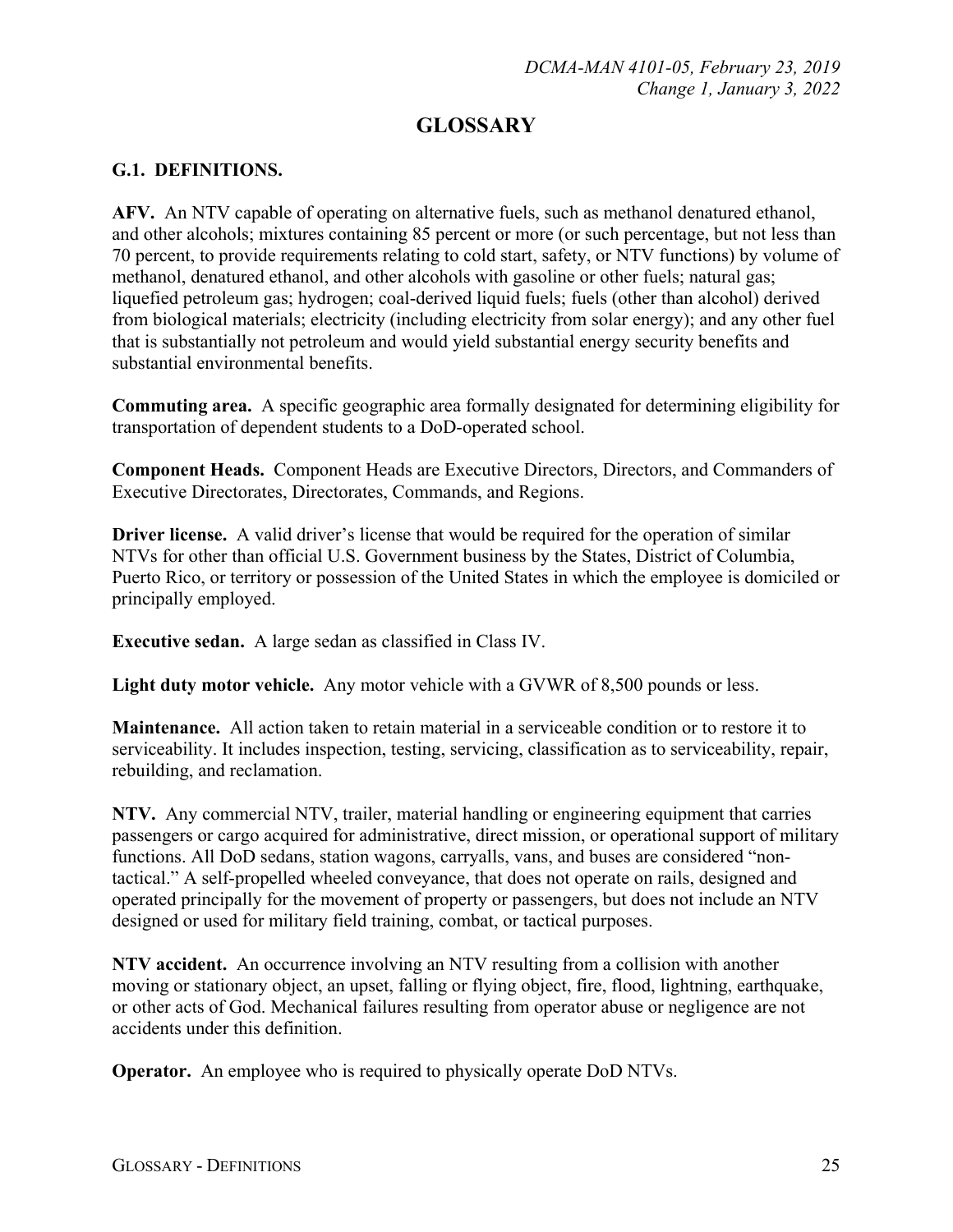# **GLOSSARY**

## **G.1. DEFINITIONS.**

**AFV.** An NTV capable of operating on alternative fuels, such as methanol denatured ethanol, and other alcohols; mixtures containing 85 percent or more (or such percentage, but not less than 70 percent, to provide requirements relating to cold start, safety, or NTV functions) by volume of methanol, denatured ethanol, and other alcohols with gasoline or other fuels; natural gas; liquefied petroleum gas; hydrogen; coal-derived liquid fuels; fuels (other than alcohol) derived from biological materials; electricity (including electricity from solar energy); and any other fuel that is substantially not petroleum and would yield substantial energy security benefits and substantial environmental benefits.

**Commuting area.** A specific geographic area formally designated for determining eligibility for transportation of dependent students to a DoD-operated school.

**Component Heads.** Component Heads are Executive Directors, Directors, and Commanders of Executive Directorates, Directorates, Commands, and Regions.

**Driver license.** A valid driver's license that would be required for the operation of similar NTVs for other than official U.S. Government business by the States, District of Columbia, Puerto Rico, or territory or possession of the United States in which the employee is domiciled or principally employed.

**Executive sedan.** A large sedan as classified in Class IV.

**Light duty motor vehicle.** Any motor vehicle with a GVWR of 8,500 pounds or less.

**Maintenance.** All action taken to retain material in a serviceable condition or to restore it to serviceability. It includes inspection, testing, servicing, classification as to serviceability, repair, rebuilding, and reclamation.

**NTV.** Any commercial NTV, trailer, material handling or engineering equipment that carries passengers or cargo acquired for administrative, direct mission, or operational support of military functions. All DoD sedans, station wagons, carryalls, vans, and buses are considered "nontactical." A self-propelled wheeled conveyance, that does not operate on rails, designed and operated principally for the movement of property or passengers, but does not include an NTV designed or used for military field training, combat, or tactical purposes.

**NTV accident.** An occurrence involving an NTV resulting from a collision with another moving or stationary object, an upset, falling or flying object, fire, flood, lightning, earthquake, or other acts of God. Mechanical failures resulting from operator abuse or negligence are not accidents under this definition.

**Operator.** An employee who is required to physically operate DoD NTVs.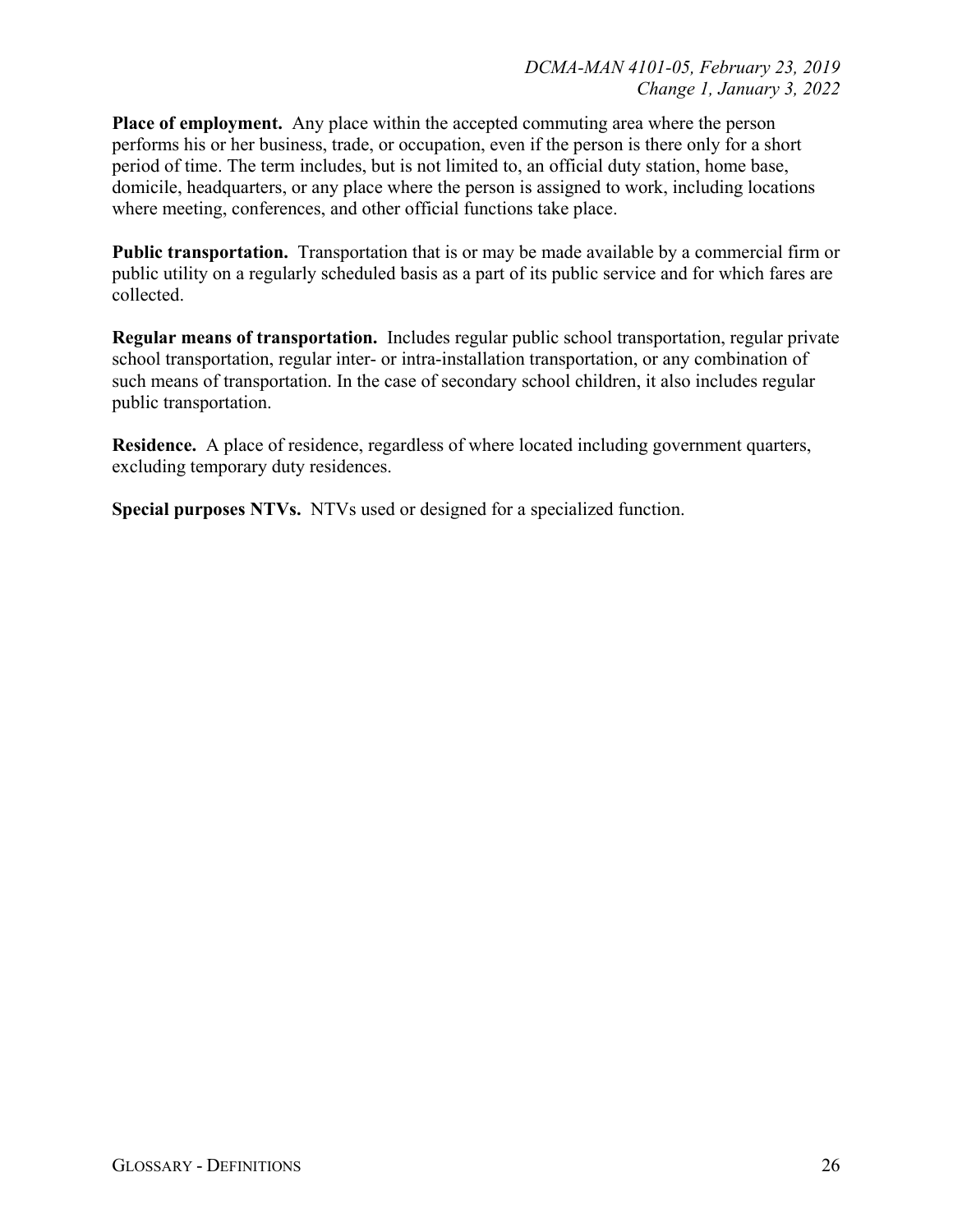**Place of employment.** Any place within the accepted commuting area where the person performs his or her business, trade, or occupation, even if the person is there only for a short period of time. The term includes, but is not limited to, an official duty station, home base, domicile, headquarters, or any place where the person is assigned to work, including locations where meeting, conferences, and other official functions take place.

**Public transportation.** Transportation that is or may be made available by a commercial firm or public utility on a regularly scheduled basis as a part of its public service and for which fares are collected.

**Regular means of transportation.** Includes regular public school transportation, regular private school transportation, regular inter- or intra-installation transportation, or any combination of such means of transportation. In the case of secondary school children, it also includes regular public transportation.

**Residence.** A place of residence, regardless of where located including government quarters, excluding temporary duty residences.

**Special purposes NTVs.** NTVs used or designed for a specialized function.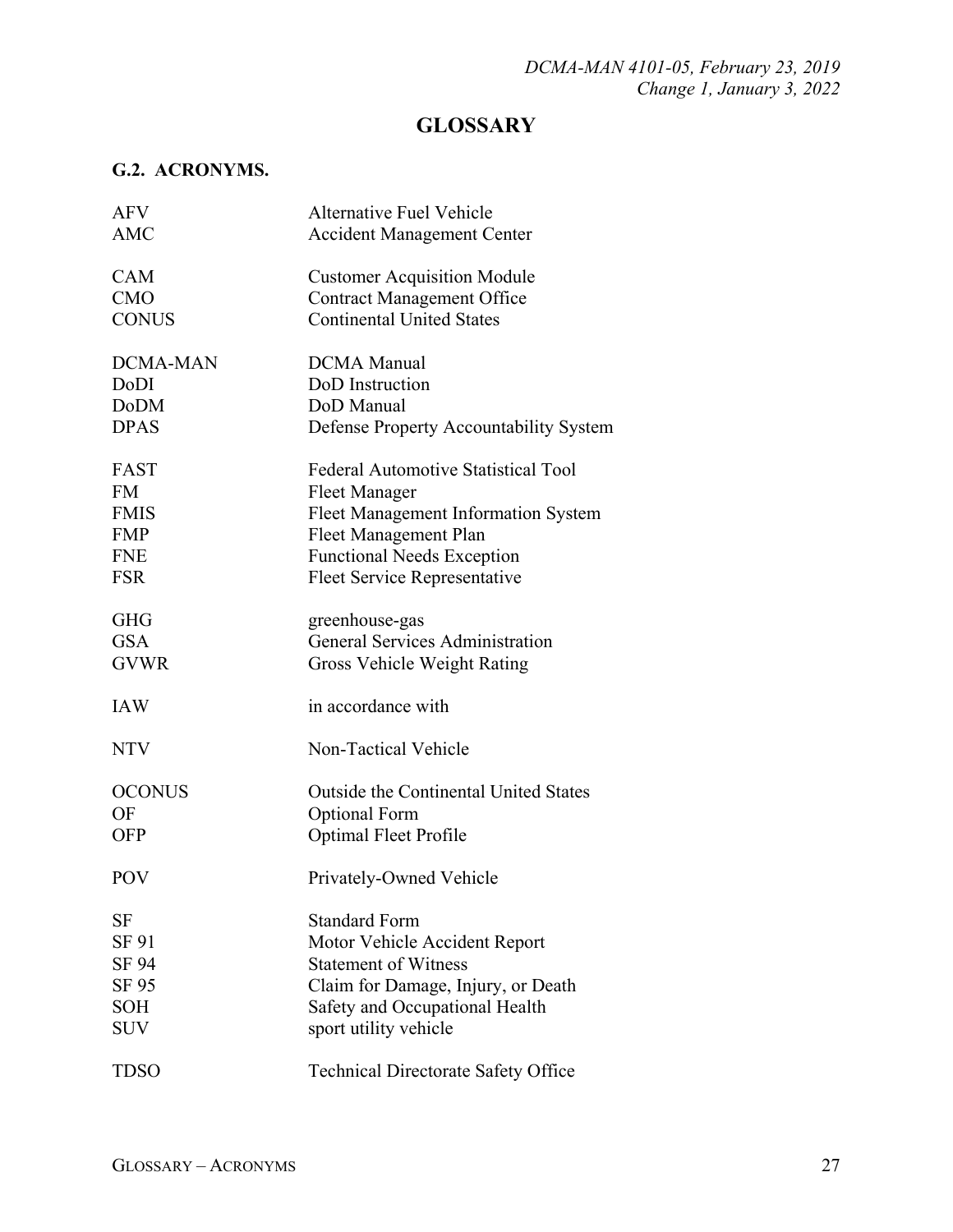# **GLOSSARY**

## **G.2. ACRONYMS.**

| <b>AFV</b>      | <b>Alternative Fuel Vehicle</b>              |
|-----------------|----------------------------------------------|
| <b>AMC</b>      | <b>Accident Management Center</b>            |
| CAM             | <b>Customer Acquisition Module</b>           |
| <b>CMO</b>      | <b>Contract Management Office</b>            |
| <b>CONUS</b>    | <b>Continental United States</b>             |
| <b>DCMA-MAN</b> | <b>DCMA</b> Manual                           |
| DoDI            | DoD Instruction                              |
| <b>DoDM</b>     | DoD Manual                                   |
| <b>DPAS</b>     | Defense Property Accountability System       |
| <b>FAST</b>     | <b>Federal Automotive Statistical Tool</b>   |
| <b>FM</b>       | <b>Fleet Manager</b>                         |
| <b>FMIS</b>     | Fleet Management Information System          |
| <b>FMP</b>      | Fleet Management Plan                        |
| <b>FNE</b>      | <b>Functional Needs Exception</b>            |
| <b>FSR</b>      | <b>Fleet Service Representative</b>          |
| <b>GHG</b>      | greenhouse-gas                               |
| <b>GSA</b>      | <b>General Services Administration</b>       |
| <b>GVWR</b>     | Gross Vehicle Weight Rating                  |
| <b>IAW</b>      | in accordance with                           |
| <b>NTV</b>      | Non-Tactical Vehicle                         |
| <b>OCONUS</b>   | <b>Outside the Continental United States</b> |
| OF              | <b>Optional Form</b>                         |
| <b>OFP</b>      | Optimal Fleet Profile                        |
| <b>POV</b>      | Privately-Owned Vehicle                      |
| <b>SF</b>       | <b>Standard Form</b>                         |
| SF 91           | Motor Vehicle Accident Report                |
| SF 94           | <b>Statement of Witness</b>                  |
| SF 95           | Claim for Damage, Injury, or Death           |
| <b>SOH</b>      | Safety and Occupational Health               |
| <b>SUV</b>      | sport utility vehicle                        |
| <b>TDSO</b>     | <b>Technical Directorate Safety Office</b>   |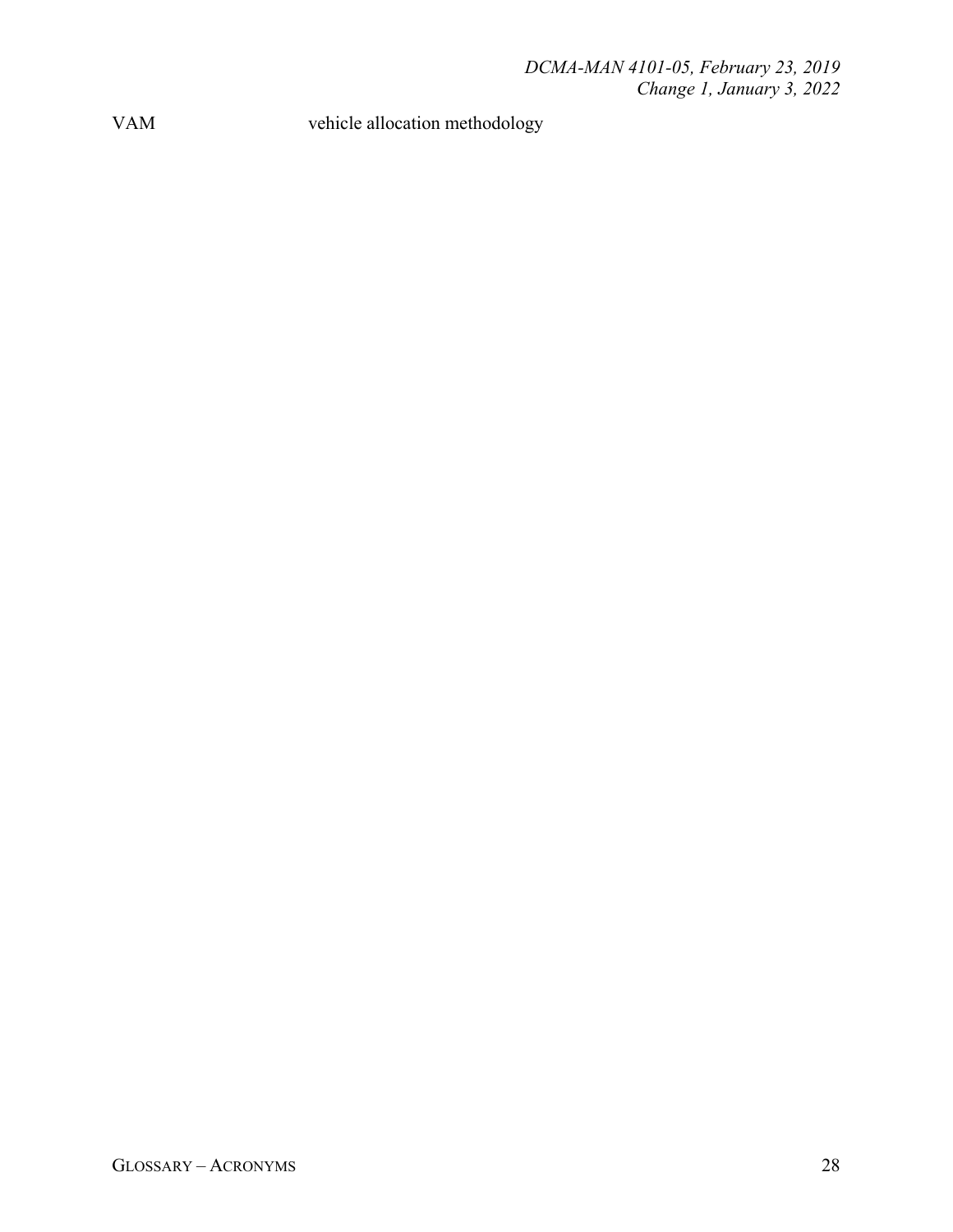VAM vehicle allocation methodology